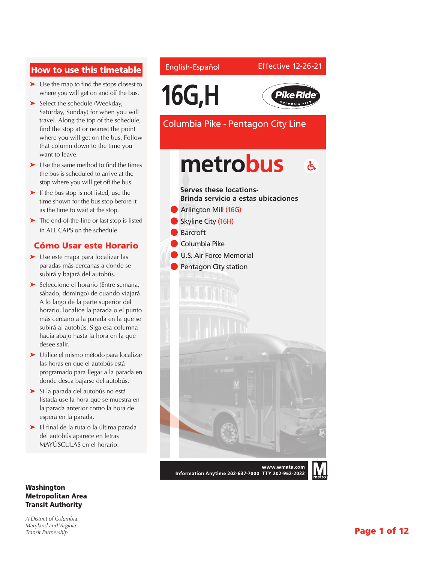### How to use this timetable

- ➤ Use the map to find the stops closest to where you will get on and off the bus.
- ➤ Select the schedule (Weekday, Saturday, Sunday) for when you will travel. Along the top of the schedule, find the stop at or nearest the point where you will get on the bus. Follow that column down to the time you want to leave.
- ➤ Use the same method to find the times the bus is scheduled to arrive at the stop where you will get off the bus.
- ► If the bus stop is not listed, use the time shown for the bus stop before it as the time to wait at the stop.
- ➤ The end-of-the-line or last stop is listed in ALL CAPS on the schedule.

#### Cómo Usar este Horario

- ➤ Use este mapa para localizar las paradas más cercanas a donde se subirá y bajará del autobús.
- ➤ Seleccione el horario (Entre semana, sábado, domingo) de cuando viajará. A lo largo de la parte superior del horario, localice la parada o el punto más cercano a la parada en la que se subirá al autobús. Siga esa columna hacia abajo hasta la hora en la que desee salir.
- ➤ Utilice el mismo método para localizar las horas en que el autobús está programado para llegar a la parada en donde desea bajarse del autobús.
- ➤ Si la parada del autobús no está listada use la hora que se muestra en la parada anterior como la hora de espera en la parada.
- ➤ El final de la ruta o la última parada del autobús aparece en letras MAYÚSCULAS en el horario.

#### Washington Metropolitan Area Transit Authority

*A District of Columbia, Maryland and Virginia Transit Partnership*

#### English-Español

#### Effective 12-26-21





Columbia Pike - Pentagon City Line

## metrobus  $\mathbf{A}$



Information Anytime 202-637-7000 TTY 202-962-2033

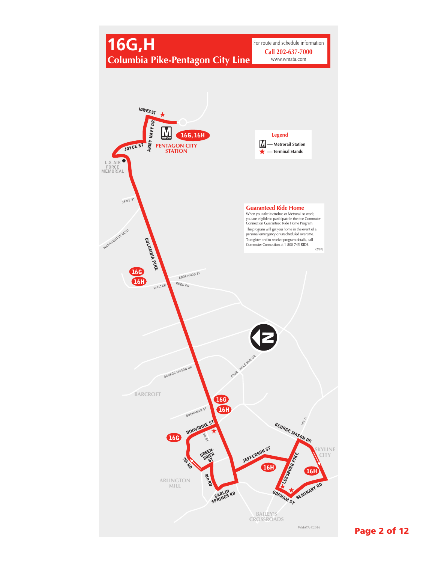

Page 2 of 12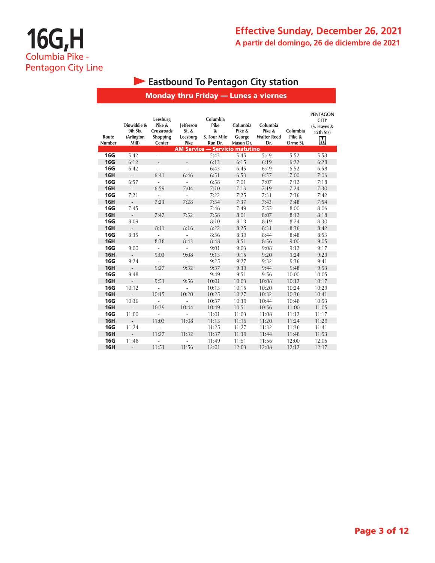## **Effective Sunday, December 26, 2021 A partir del domingo, 26 de diciembre de 2021**

## **Eastbound To Pentagon City station**

### Monday thru Friday — Lunes a viernes

| Route<br><b>Number</b> | Dinwiddie &<br>9th Sts.<br>(Arlington<br>Mill) | Leesburg<br>Pike &<br>Crossroads<br>Shopping<br>Center | lefferson<br>St. &<br>Leesburg<br>Pike | Columbia<br>Pike<br>&<br>S. Four Mile<br>Run Dr.<br><b>AM Service - Servicio matutino</b> | Columbia<br>Pike &<br>George<br>Mason Dr. | Columbia<br>Pike &<br><b>Walter Reed</b><br>Dr. | Columbia<br>Pike &<br>Orme St. | <b>PENTAGON</b><br><b>CITY</b><br>$(S.$ Hayes &<br>12th Sts)<br>M |
|------------------------|------------------------------------------------|--------------------------------------------------------|----------------------------------------|-------------------------------------------------------------------------------------------|-------------------------------------------|-------------------------------------------------|--------------------------------|-------------------------------------------------------------------|
| <b>16G</b>             | 5:42                                           | ÷.                                                     | ä,                                     | 5:43                                                                                      | 5:45                                      | 5:49                                            | 5:52                           | 5:58                                                              |
| <b>16G</b>             | 6:12                                           | $\overline{a}$                                         | $\overline{a}$                         | 6:13                                                                                      | 6:15                                      | 6:19                                            | 6:22                           | 6:28                                                              |
| <b>16G</b>             | 6:42                                           | $\overline{\phantom{a}}$                               | ÷,                                     | 6:43                                                                                      | 6:45                                      | 6:49                                            | 6:52                           | 6:58                                                              |
| <b>16H</b>             | $\overline{\phantom{0}}$                       | 6:41                                                   | 6:46                                   | 6:51                                                                                      | 6:53                                      | 6:57                                            | 7:00                           | 7:06                                                              |
| <b>16G</b>             | 6:57                                           | ä,                                                     | ÷,                                     | 6:58                                                                                      | 7:01                                      | 7:07                                            | 7:12                           | 7:18                                                              |
| <b>16H</b>             | $\overline{a}$                                 | 6:59                                                   | 7:04                                   | 7:10                                                                                      | 7:13                                      | 7:19                                            | 7:24                           | 7:30                                                              |
| <b>16G</b>             | 7:21                                           | ÷,                                                     | L                                      | 7:22                                                                                      | 7:25                                      | 7:31                                            | 7:36                           | 7:42                                                              |
| <b>16H</b>             | $\overline{a}$                                 | 7:23                                                   | 7:28                                   | 7:34                                                                                      | 7:37                                      | 7:43                                            | 7:48                           | 7:54                                                              |
| <b>16G</b>             | 7:45                                           | ÷,                                                     | ÷,                                     | 7:46                                                                                      | 7:49                                      | 7:55                                            | 8:00                           | 8:06                                                              |
| <b>16H</b>             | $\overline{\phantom{a}}$                       | 7:47                                                   | 7:52                                   | 7:58                                                                                      | 8:01                                      | 8:07                                            | 8:12                           | 8:18                                                              |
| <b>16G</b>             | 8:09                                           | ÷,                                                     | L                                      | 8:10                                                                                      | 8:13                                      | 8:19                                            | 8:24                           | 8:30                                                              |
| <b>16H</b>             | $\overline{a}$                                 | 8:11                                                   | 8:16                                   | 8:22                                                                                      | 8:25                                      | 8:31                                            | 8:36                           | 8:42                                                              |
| <b>16G</b>             | 8:35                                           | ÷,                                                     | L                                      | 8:36                                                                                      | 8:39                                      | 8:44                                            | 8:48                           | 8:53                                                              |
| <b>16H</b>             | $\frac{1}{2}$                                  | 8:38                                                   | 8:43                                   | 8:48                                                                                      | 8:51                                      | 8:56                                            | 9:00                           | 9:05                                                              |
| <b>16G</b>             | 9:00                                           | ÷,                                                     | ÷,                                     | 9:01                                                                                      | 9:03                                      | 9:08                                            | 9:12                           | 9:17                                                              |
| <b>16H</b>             | $\overline{a}$                                 | 9:03                                                   | 9:08                                   | 9:13                                                                                      | 9:15                                      | 9:20                                            | 9:24                           | 9:29                                                              |
| <b>16G</b>             | 9:24                                           | ٠                                                      | ä,                                     | 9:25                                                                                      | 9:27                                      | 9:32                                            | 9:36                           | 9:41                                                              |
| <b>16H</b>             | ÷.                                             | 9:27                                                   | 9:32                                   | 9:37                                                                                      | 9:39                                      | 9:44                                            | 9:48                           | 9:53                                                              |
| <b>16G</b>             | 9:48                                           |                                                        |                                        | 9:49                                                                                      | 9:51                                      | 9:56                                            | 10:00                          | 10:05                                                             |
| <b>16H</b>             | ÷.                                             | 9:51                                                   | 9:56                                   | 10:01                                                                                     | 10:03                                     | 10:08                                           | 10:12                          | 10:17                                                             |
| <b>16G</b>             | 10:12                                          | ÷,                                                     |                                        | 10:13                                                                                     | 10:15                                     | 10:20                                           | 10:24                          | 10:29                                                             |
| <b>16H</b>             |                                                | 10:15                                                  | 10:20                                  | 10:25                                                                                     | 10:27                                     | 10:32                                           | 10:36                          | 10:41                                                             |
| <b>16G</b>             | 10:36                                          |                                                        |                                        | 10:37                                                                                     | 10:39                                     | 10:44                                           | 10:48                          | 10:53                                                             |
| <b>16H</b>             |                                                | 10:39                                                  | 10:44                                  | 10:49                                                                                     | 10:51                                     | 10:56                                           | 11:00                          | 11:05                                                             |
| <b>16G</b>             | 11:00                                          | ÷,                                                     |                                        | 11:01                                                                                     | 11:03                                     | 11:08                                           | 11:12                          | 11:17                                                             |
| <b>16H</b>             | ÷.                                             | 11:03                                                  | 11:08                                  | 11:13                                                                                     | 11:15                                     | 11:20                                           | 11:24                          | 11:29                                                             |
| <b>16G</b>             | 11:24                                          | ÷,                                                     |                                        | 11:25                                                                                     | 11:27                                     | 11:32                                           | 11:36                          | 11:41                                                             |
| <b>16H</b>             | $\overline{\phantom{a}}$                       | 11:27                                                  | 11:32                                  | 11:37                                                                                     | 11:39                                     | 11:44                                           | 11:48                          | 11:53                                                             |
| <b>16G</b>             | 11:48                                          | ä,                                                     |                                        | 11:49                                                                                     | 11:51                                     | 11:56                                           | 12:00                          | 12:05                                                             |
| <b>16H</b>             | ÷,                                             | 11:51                                                  | 11:56                                  | 12:01                                                                                     | 12:03                                     | 12:08                                           | 12:12                          | 12:17                                                             |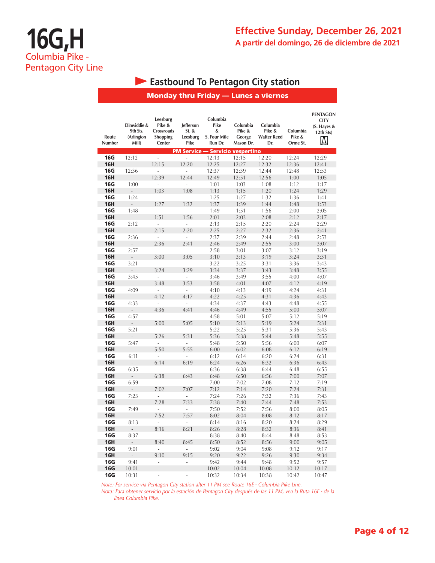## **Effective Sunday, December 26, 2021 A partir del domingo, 26 de diciembre de 2021**

### **Eastbound To Pentagon City station**

#### Monday thru Friday — Lunes a viernes

| Route<br>Number | Dinwiddie &<br>9th Sts.<br>(Arlington<br>Mill) | Leesburg<br>Pike &<br>Crossroads<br><b>Shopping</b><br>Center | lefferson<br>$St.$ &<br>Leesburg<br>Pike | Columbia<br>Pike<br>&<br>S. Four Mile<br>Run Dr. | Columbia<br>Pike &<br>George<br>Mason Dr. | Columbia<br>Pike &<br><b>Walter Reed</b><br>Dr. | Columbia<br>Pike &<br>Orme St. | <b>PENTAGON</b><br><b>CITY</b><br>(S. Hayes &<br>12th Sts)<br>M |
|-----------------|------------------------------------------------|---------------------------------------------------------------|------------------------------------------|--------------------------------------------------|-------------------------------------------|-------------------------------------------------|--------------------------------|-----------------------------------------------------------------|
|                 |                                                |                                                               |                                          | <b>PM Service - Servicio vespertino</b>          |                                           |                                                 |                                |                                                                 |
| <b>16G</b>      | 12:12                                          | $\frac{1}{2}$                                                 | $\overline{a}$                           | 12:13                                            | 12:15                                     | 12:20                                           | 12:24                          | 12:29                                                           |
| <b>16H</b>      | $\overline{a}$                                 | 12:15                                                         | 12:20                                    | 12:25                                            | 12:27                                     | 12:32                                           | 12:36                          | 12:41                                                           |
| 16G             | 12:36                                          | L.                                                            | $\overline{a}$                           | 12:37                                            | 12:39                                     | 12:44                                           | 12:48                          | 12:53                                                           |
| <b>16H</b>      |                                                | 12:39                                                         | 12:44                                    | 12:49                                            | 12:51                                     | 12:56                                           | 1:00                           | 1:05                                                            |
| <b>16G</b>      | 1:00                                           | ÷,                                                            | L                                        | 1:01                                             | 1:03                                      | 1:08                                            | 1:12                           | 1:17                                                            |
| <b>16H</b>      | $\overline{a}$                                 | 1:03                                                          | 1:08                                     | 1:13                                             | 1:15                                      | 1:20                                            | 1:24                           | 1:29                                                            |
| <b>16G</b>      | 1:24                                           | $\overline{\phantom{a}}$                                      | $\overline{a}$                           | 1:25                                             | 1:27                                      | 1:32                                            | 1:36                           | 1:41                                                            |
| <b>16H</b>      | $\overline{a}$                                 | 1:27                                                          | 1:32                                     | 1:37                                             | 1:39                                      | 1:44                                            | 1:48                           | 1:53                                                            |
| <b>16G</b>      | 1:48                                           | ÷,                                                            | $\overline{\phantom{a}}$                 | 1:49                                             | 1:51                                      | 1:56                                            | 2:00                           | 2:05                                                            |
| <b>16H</b>      | $\overline{\phantom{a}}$                       | 1:51                                                          | 1:56                                     | 2:01                                             | 2:03                                      | 2:08                                            | 2:12                           | 2:17                                                            |
| <b>16G</b>      | 2:12                                           | ÷,                                                            | $\overline{\phantom{a}}$                 | 2:13                                             | 2:15                                      | 2:20                                            | 2:24                           | 2:29                                                            |
| <b>16H</b>      | $\overline{a}$                                 | 2:15                                                          | 2:20                                     | 2:25                                             | 2:27                                      | 2:32                                            | 2:36                           | 2:41                                                            |
| <b>16G</b>      | 2:36                                           | L.                                                            | L,                                       | 2:37                                             | 2:39                                      | 2:44                                            | 2:48                           | 2:53                                                            |
| <b>16H</b>      | $\overline{a}$                                 | 2:36                                                          | 2:41                                     | 2:46                                             | 2:49                                      | 2:55                                            | 3:00                           | 3:07                                                            |
| <b>16G</b>      | 2:57                                           | $\overline{\phantom{a}}$                                      | $\overline{a}$                           | 2:58                                             | 3:01                                      | 3:07                                            | 3:12                           | 3:19                                                            |
| <b>16H</b>      | $\overline{a}$                                 | 3:00                                                          | 3:05                                     | 3:10                                             | 3:13                                      | 3:19                                            | 3:24                           | 3:31                                                            |
| <b>16G</b>      | 3:21                                           | ÷,                                                            | ÷,                                       | 3:22                                             | 3:25                                      | 3:31                                            | 3:36                           | 3:43                                                            |
| <b>16H</b>      | $\overline{a}$                                 | 3:24                                                          | 3:29                                     | 3:34                                             | 3:37                                      | 3:43                                            | 3:48                           | 3:55                                                            |
| <b>16G</b>      | 3:45                                           | L.                                                            |                                          | 3:46                                             | 3:49                                      | 3:55                                            | 4:00                           | 4:07                                                            |
| <b>16H</b>      | $\overline{a}$                                 | 3:48                                                          | 3:53                                     | 3:58                                             | 4:01                                      | 4:07                                            | 4:12                           | 4:19                                                            |
| <b>16G</b>      | 4:09                                           | $\overline{\phantom{a}}$                                      | $\overline{\phantom{a}}$                 | 4:10                                             | 4:13                                      | 4:19                                            | 4:24                           | 4:31                                                            |
| <b>16H</b>      | $\overline{a}$                                 | 4:12                                                          | 4:17                                     | 4:22                                             | 4:25                                      | 4:31                                            | 4:36                           | 4:43                                                            |
| <b>16G</b>      | 4:33                                           | $\overline{\phantom{a}}$                                      | $\overline{\phantom{a}}$                 | 4:34                                             | 4:37                                      | 4:43                                            | 4:48                           | 4:55                                                            |
| <b>16H</b>      | $\overline{a}$                                 | 4:36                                                          | 4:41                                     | 4:46                                             | 4:49                                      | 4:55                                            | 5:00                           | 5:07                                                            |
| <b>16G</b>      | 4:57                                           | ä,                                                            |                                          | 4:58                                             | 5:01                                      | 5:07                                            | 5:12                           | 5:19                                                            |
| <b>16H</b>      | $\frac{1}{2}$                                  | 5:00                                                          | 5:05                                     | 5:10                                             | 5:13                                      | 5:19                                            | 5:24                           | 5:31                                                            |
| <b>16G</b>      | 5:21                                           | J.                                                            | L                                        | 5:22                                             | 5:25                                      | 5:31                                            | 5:36                           | 5:43                                                            |
| <b>16H</b>      | $\frac{1}{2}$                                  | 5:26                                                          | 5:31                                     | 5:36                                             | 5:38                                      | 5:44                                            | 5:48                           | 5:55                                                            |
| <b>16G</b>      | 5:47                                           | ÷,                                                            | ÷,                                       | 5:48                                             | 5:50                                      | 5:56                                            | 6:00                           | 6:07                                                            |
| <b>16H</b>      | $\overline{a}$                                 | 5:50                                                          | 5:55                                     | 6:00                                             | 6:02                                      | 6:08                                            | 6:12                           | 6:19                                                            |
| <b>16G</b>      | 6:11                                           | ä,                                                            | L,                                       | 6:12                                             | 6:14                                      | 6:20                                            | 6:24                           | 6:31                                                            |
| <b>16H</b>      | $\frac{1}{2}$                                  | 6:14                                                          | 6:19                                     | 6:24                                             | 6:26                                      | 6:32                                            | 6:36                           | 6:43                                                            |
| <b>16G</b>      | 6:35                                           | L,                                                            | L                                        | 6:36                                             | 6:38                                      | 6:44                                            | 6:48                           | 6:55                                                            |
| <b>16H</b>      | $\overline{a}$                                 | 6:38                                                          | 6:43                                     | 6:48                                             | 6:50                                      | 6:56                                            | 7:00                           | 7:07                                                            |
| <b>16G</b>      | 6:59                                           | $\overline{\phantom{a}}$                                      | ÷,                                       | 7:00                                             | 7:02                                      | 7:08                                            | 7:12                           | 7:19                                                            |
| <b>16H</b>      | $\overline{a}$                                 | 7:02                                                          | 7:07                                     | 7:12                                             | 7:14                                      | 7:20                                            | 7:24                           | 7:31                                                            |
| <b>16G</b>      | 7:23                                           | $\overline{\phantom{a}}$                                      | $\overline{a}$                           | 7:24                                             | 7:26                                      | 7:32                                            | 7:36                           | 7:43                                                            |
| <b>16H</b>      | $\frac{1}{2}$                                  | 7:28                                                          | 7:33                                     | 7:38                                             | 7:40                                      | 7:44                                            | 7:48                           | 7:53                                                            |
| <b>16G</b>      | 7:49                                           | J.                                                            |                                          | 7:50                                             | 7:52                                      | 7:56                                            | 8:00                           | 8:05                                                            |
| <b>16H</b>      | $\overline{a}$                                 | 7:52                                                          | 7:57                                     | 8:02                                             | 8:04                                      | 8:08                                            | 8:12                           | 8:17                                                            |
| <b>16G</b>      | 8:13                                           | $\overline{a}$                                                | $\overline{a}$                           | 8:14                                             | 8:16                                      | 8:20                                            | 8:24                           | 8:29                                                            |
| <b>16H</b>      | $\overline{a}$                                 | 8:16                                                          | 8:21                                     | 8:26                                             | 8:28                                      | 8:32                                            | 8:36                           | 8:41                                                            |
| <b>16G</b>      | 8:37                                           | i.                                                            | ä,                                       | 8:38                                             | 8:40                                      | 8:44                                            | 8:48                           | 8:53                                                            |
| <b>16H</b>      |                                                | 8:40                                                          | 8:45                                     | 8:50                                             | 8:52                                      | 8:56                                            | 9:00                           | 9:05                                                            |
| <b>16G</b>      | 9:01                                           |                                                               |                                          | 9:02                                             | 9:04                                      | 9:08                                            | 9:12                           | 9:17                                                            |
| <b>16H</b>      | $\overline{a}$                                 | 9:10                                                          | 9:15                                     | 9:20                                             | 9:22                                      | 9:26                                            | 9:30                           | 9:34                                                            |
| <b>16G</b>      | 9:41                                           | L                                                             | L,                                       | 9:42                                             | 9:44                                      | 9:48                                            | 9:52                           | 9:57                                                            |
| <b>16G</b>      | 10:01                                          | $\overline{a}$                                                | L                                        | 10:02                                            | 10:04                                     | 10:08                                           | 10:12                          | 10:17                                                           |
| <b>16G</b>      | 10:31                                          | L.                                                            | L,                                       | 10:32                                            | 10:34                                     | 10:38                                           | 10:42                          | 10:47                                                           |

*Note: For service via Pentagon City station after 11 PM see Route 16E - Columbia Pike Line.*

*Nota: Para obtener servicio por la estación de Pentagon City después de las 11 PM, vea la Ruta 16E - de la línea Columbia Pike.*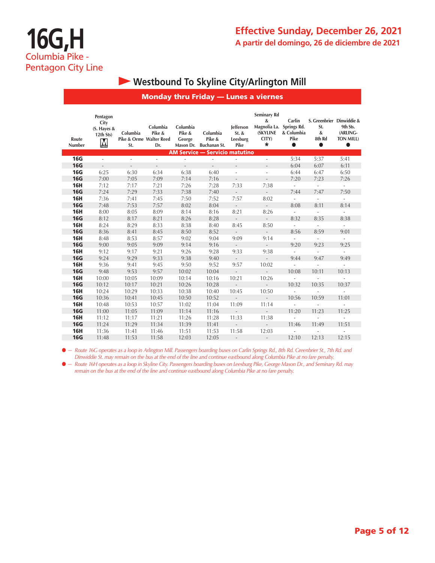## **• Westbound To Skyline City/Arlington Mill**

#### Monday thru Friday — Lunes a viernes

| Route<br>Number | Pentagon<br>City<br>(S. Hayes &<br>12th Sts)<br>M | Columbia<br>Pike & Orme Walter Reed<br>St. | Columbia<br>Pike &<br>Dr. | Columbia<br>Pike &<br>George | Columbia<br>Pike &<br>Mason Dr. Buchanan St. | lefferson<br>St. &<br>Leesburg<br>Pike | Seminary Rd<br>&<br>Magnolia La. Springs Rd.<br><b>(SKYLINE</b><br>CITY)<br>$\ast$ | Carlin<br>& Columbia<br>Pike<br>$\bullet$ | S. Greenbrier Dinwiddie &<br>St.<br>&<br>8th Rd<br>$\bullet$ | 9th Sts.<br>(ARLING-<br><b>TON MILL)</b><br>$\bullet$ |
|-----------------|---------------------------------------------------|--------------------------------------------|---------------------------|------------------------------|----------------------------------------------|----------------------------------------|------------------------------------------------------------------------------------|-------------------------------------------|--------------------------------------------------------------|-------------------------------------------------------|
|                 |                                                   |                                            |                           |                              | <b>AM Service - Servicio matutino</b>        |                                        |                                                                                    |                                           |                                                              |                                                       |
| <b>16G</b>      | L.                                                | L.                                         | ٠                         | ×.                           | ÷,                                           | ×.                                     | ÷,                                                                                 | 5:34                                      | 5:37                                                         | 5:41                                                  |
| <b>16G</b>      | $\frac{1}{2}$                                     | $\overline{\phantom{a}}$                   | $\overline{\phantom{a}}$  | $\overline{\phantom{a}}$     | $\overline{\phantom{a}}$                     | $\overline{\phantom{a}}$               | $\overline{\phantom{0}}$                                                           | 6:04                                      | 6:07                                                         | 6:11                                                  |
| <b>16G</b>      | 6:25                                              | 6:30                                       | 6:34                      | 6:38                         | 6:40                                         | $\sim$                                 | ä,                                                                                 | 6:44                                      | 6:47                                                         | 6:50                                                  |
| <b>16G</b>      | 7:00                                              | 7:05                                       | 7:09                      | 7:14                         | 7:16                                         | $\overline{\phantom{m}}$               | $\overline{\phantom{a}}$                                                           | 7:20                                      | 7:23                                                         | 7:26                                                  |
| <b>16H</b>      | 7:12                                              | 7:17                                       | 7:21                      | 7:26                         | 7:28                                         | 7:33                                   | 7:38                                                                               | ä,                                        | $\overline{\phantom{a}}$                                     | $\Box$                                                |
| <b>16G</b>      | 7:24                                              | 7:29                                       | 7:33                      | 7:38                         | 7:40                                         | $\overline{a}$                         | $\mathcal{L}$                                                                      | 7:44                                      | 7:47                                                         | 7:50                                                  |
| <b>16H</b>      | 7:36                                              | 7:41                                       | 7:45                      | 7:50                         | 7:52                                         | 7:57                                   | 8:02                                                                               | ä,                                        | $\overline{\phantom{a}}$                                     | $\overline{\phantom{a}}$                              |
| <b>16G</b>      | 7:48                                              | 7:53                                       | 7:57                      | 8:02                         | 8:04                                         | $\bar{a}$                              | $\overline{\phantom{a}}$                                                           | 8:08                                      | 8:11                                                         | 8:14                                                  |
| <b>16H</b>      | 8:00                                              | 8:05                                       | 8:09                      | 8:14                         | 8:16                                         | 8:21                                   | 8:26                                                                               | $\overline{\phantom{a}}$                  | $\overline{\phantom{a}}$                                     | $\blacksquare$                                        |
| <b>16G</b>      | 8:12                                              | 8:17                                       | 8:21                      | 8:26                         | 8:28                                         | $\overline{\phantom{a}}$               | $\frac{1}{2}$                                                                      | 8:32                                      | 8:35                                                         | 8:38                                                  |
| <b>16H</b>      | 8:24                                              | 8:29                                       | 8:33                      | 8:38                         | 8:40                                         | 8:45                                   | 8:50                                                                               | $\overline{\phantom{a}}$                  | $\bar{a}$                                                    | $\overline{\phantom{a}}$                              |
| <b>16G</b>      | 8:36                                              | 8:41                                       | 8:45                      | 8:50                         | 8:52                                         | $\overline{\phantom{a}}$               | $\mathcal{L}^{\pm}$                                                                | 8:56                                      | 8:59                                                         | 9:01                                                  |
| <b>16H</b>      | 8:48                                              | 8:53                                       | 8:57                      | 9:02                         | 9:04                                         | 9:09                                   | 9:14                                                                               | $\sim$                                    | $\overline{\phantom{a}}$                                     | $\overline{\phantom{a}}$                              |
| <b>16G</b>      | 9:00                                              | 9:05                                       | 9:09                      | 9:14                         | 9:16                                         | $\sim$                                 | $\overline{\phantom{a}}$                                                           | 9:20                                      | 9:23                                                         | 9:25                                                  |
| <b>16H</b>      | 9:12                                              | 9:17                                       | 9:21                      | 9:26                         | 9:28                                         | 9:33                                   | 9:38                                                                               | ä,                                        |                                                              | $\overline{\phantom{a}}$                              |
| <b>16G</b>      | 9:24                                              | 9:29                                       | 9:33                      | 9:38                         | 9:40                                         | $\overline{\phantom{a}}$               | $\overline{\phantom{a}}$                                                           | 9:44                                      | 9:47                                                         | 9:49                                                  |
| <b>16H</b>      | 9:36                                              | 9:41                                       | 9:45                      | 9:50                         | 9:52                                         | 9:57                                   | 10:02                                                                              | $\overline{\phantom{a}}$                  |                                                              | $\overline{\phantom{a}}$                              |
| <b>16G</b>      | 9:48                                              | 9:53                                       | 9:57                      | 10:02                        | 10:04                                        | $\overline{a}$                         | $\overline{\phantom{a}}$                                                           | 10:08                                     | 10:11                                                        | 10:13                                                 |
| <b>16H</b>      | 10:00                                             | 10:05                                      | 10:09                     | 10:14                        | 10:16                                        | 10:21                                  | 10:26                                                                              | $\frac{1}{2}$                             | $\overline{\phantom{a}}$                                     | $\overline{a}$                                        |
| <b>16G</b>      | 10:12                                             | 10:17                                      | 10:21                     | 10:26                        | 10:28                                        | $\overline{a}$                         | ÷.                                                                                 | 10:32                                     | 10:35                                                        | 10:37                                                 |
| <b>16H</b>      | 10:24                                             | 10:29                                      | 10:33                     | 10:38                        | 10:40                                        | 10:45                                  | 10:50                                                                              | ä,                                        |                                                              | $\overline{\phantom{a}}$                              |
| <b>16G</b>      | 10:36                                             | 10:41                                      | 10:45                     | 10:50                        | 10:52                                        | $\bar{a}$                              | $\mathcal{L}$                                                                      | 10:56                                     | 10:59                                                        | 11:01                                                 |
| <b>16H</b>      | 10:48                                             | 10:53                                      | 10:57                     | 11:02                        | 11:04                                        | 11:09                                  | 11:14                                                                              | ä,                                        |                                                              | ÷                                                     |
| <b>16G</b>      | 11:00                                             | 11:05                                      | 11:09                     | 11:14                        | 11:16                                        |                                        |                                                                                    | 11:20                                     | 11:23                                                        | 11:25                                                 |
| <b>16H</b>      | 11:12                                             | 11:17                                      | 11:21                     | 11:26                        | 11:28                                        | 11:33                                  | 11:38                                                                              | ÷,                                        | $\overline{\phantom{a}}$                                     | ä,                                                    |
| <b>16G</b>      | 11:24                                             | 11:29                                      | 11:34                     | 11:39                        | 11:41                                        | $\bar{a}$                              | ÷.                                                                                 | 11:46                                     | 11:49                                                        | 11:51                                                 |
| <b>16H</b>      | 11:36                                             | 11:41                                      | 11:46                     | 11:51                        | 11:53                                        | 11:58                                  | 12:03                                                                              | ÷                                         |                                                              |                                                       |
| <b>16G</b>      | 11:48                                             | 11:53                                      | 11:58                     | 12:03                        | 12:05                                        |                                        | $\overline{\phantom{a}}$                                                           | 12:10                                     | 12:13                                                        | 12:15                                                 |

l *— Route 16G operates as a loop in Arlington Mill. Passengers boarding buses on Carlin Springs Rd., 8th Rd. Greenbrier St., 7th Rd. and Dinwiddie St. may remain on the bus at the end of the line and continue eastbound along Columbia Pike at no fare penalty.*

l *— Route 16H operates as a loop in Skyline City. Passengers boarding buses on Leesburg Pike, George Mason Dr., and Seminary Rd. may remain on the bus at the end of the line and continue eastbound along Columbia Pike at no fare penalty.*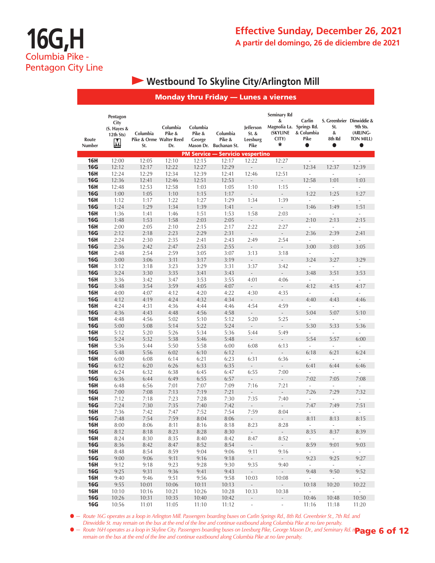# **• Westbound To Skyline City/Arlington Mill**

|                          |                                                   |                                            |                           |                              |                                                  |                                        | <b>Monday thru Friday - Lunes a viernes</b>                                          |                                   |                                                      |                                                |
|--------------------------|---------------------------------------------------|--------------------------------------------|---------------------------|------------------------------|--------------------------------------------------|----------------------------------------|--------------------------------------------------------------------------------------|-----------------------------------|------------------------------------------------------|------------------------------------------------|
| Route<br>Number          | Pentagon<br>City<br>(S. Hayes &<br>12th Sts)<br>M | Columbia<br>Pike & Orme Walter Reed<br>St. | Columbia<br>Pike &<br>Dr. | Columbia<br>Pike &<br>George | Columbia<br>Pike &<br>Mason Dr. Buchanan St.     | Jefferson<br>St. &<br>Leesburg<br>Pike | <b>Seminary Rd</b><br>&<br>Magnolia La. Springs Rd.<br><b>(SKYLINE</b><br>CITY)<br>* | Carlin<br>& Columbia<br>Pike<br>0 | S. Greenbrier Dinwiddie &<br>St.<br>&<br>8th Rd<br>0 | 9th Sts.<br>(ARLING-<br>TON MILL)<br>$\bullet$ |
| <b>16H</b>               | 12:00                                             | 12:05                                      | 12:10                     | 12:15                        | <b>PM Service - Servicio vespertino</b><br>12:17 | 12:22                                  | 12:27                                                                                | $\overline{\phantom{a}}$          | $\overline{\phantom{a}}$                             | $\overline{\phantom{a}}$                       |
| <b>16G</b>               | 12:12                                             | 12:17                                      | 12:22                     | 12:27                        | 12:29                                            | ÷,                                     | ÷,                                                                                   | 12:34                             | 12:37                                                | 12:39                                          |
| <b>16H</b>               | 12:24                                             | 12:29                                      | 12:34                     | 12:39                        | 12:41                                            | 12:46                                  | 12:51                                                                                | $\overline{\phantom{a}}$          | ÷,                                                   | $\omega$                                       |
| <b>16G</b>               | 12:36                                             | 12:41                                      | 12:46                     | 12:51                        | 12:53                                            |                                        | ÷,                                                                                   | 12:58                             | 1:01                                                 | 1:03                                           |
| <b>16H</b>               | 12:48                                             | 12:53                                      | 12:58                     | 1:03                         | 1:05                                             | 1:10                                   | 1:15                                                                                 | $\overline{\phantom{a}}$          | $\sim$                                               | $\overline{\phantom{a}}$                       |
| <b>16G</b>               | 1:00                                              | 1:05                                       | 1:10                      | 1:15                         | 1:17                                             |                                        | $\qquad \qquad -$                                                                    | 1:22                              | 1:25                                                 | 1:27                                           |
| <b>16H</b>               | 1:12                                              | 1:17                                       | 1:22                      | 1:27                         | 1:29                                             | 1:34                                   | 1:39                                                                                 | $\bar{\phantom{a}}$               | $\overline{\phantom{a}}$                             | $\overline{\phantom{a}}$                       |
| <b>16G</b>               | 1:24                                              | 1:29                                       | 1:34                      | 1:39                         | 1:41                                             | $\overline{\phantom{a}}$               | $\overline{\phantom{a}}$                                                             | 1:46                              | 1:49                                                 | 1:51                                           |
| <b>16H</b>               | 1:36                                              | 1:41                                       | 1:46                      | 1:51                         | 1:53                                             | 1:58                                   | 2:03                                                                                 | $\overline{\phantom{a}}$          | $\overline{\phantom{a}}$                             | $\Box$                                         |
| <b>16G</b>               | 1:48                                              | 1:53                                       | 1:58                      | 2:03                         | 2:05                                             | $\overline{\phantom{a}}$               | $\mathbb{R}^2$                                                                       | 2:10                              | 2:13                                                 | 2:15                                           |
| <b>16H</b>               | 2:00                                              | 2:05                                       | 2:10                      | 2:15                         | 2:17                                             | 2:22                                   | 2:27                                                                                 | $\overline{\phantom{a}}$          | $\overline{\phantom{a}}$                             | $\Box$                                         |
| <b>16G</b>               | 2:12                                              | 2:18                                       | 2:23                      | 2:29                         | 2:31                                             | $\Box$                                 | $\mathcal{L}_{\mathcal{A}}$                                                          | 2:36                              | 2:39                                                 | 2:41                                           |
| <b>16H</b>               | 2:24                                              | 2:30                                       | 2:35                      | 2:41                         | 2:43                                             | 2:49                                   | 2:54                                                                                 | $\Box$                            | $\blacksquare$                                       | $\blacksquare$                                 |
| <b>16G</b>               | 2:36                                              | 2:42                                       | 2:47                      | 2:53                         | 2:55                                             | $\overline{\phantom{a}}$               | $\label{eq:reduced}$                                                                 | 3:00                              | 3:03<br>$\overline{\phantom{a}}$                     | 3:05                                           |
| <b>16H</b><br><b>16G</b> | 2:48<br>3:00                                      | 2:54<br>3:06                               | 2:59<br>3:11              | 3:05<br>3:17                 | 3:07<br>3:19                                     | 3:13                                   | 3:18                                                                                 | $\overline{\phantom{a}}$<br>3:24  | 3:27                                                 | 3:29                                           |
| <b>16H</b>               | 3:12                                              | 3:18                                       | 3:23                      | 3:29                         | 3:31                                             | 3:37                                   | $\overline{\phantom{a}}$<br>3:42                                                     | $\overline{\phantom{a}}$          | $\overline{\phantom{a}}$                             | $\overline{\phantom{a}}$                       |
| <b>16G</b>               | 3:24                                              | 3:30                                       | 3:35                      | 3:41                         | 3:43                                             | $\overline{\phantom{a}}$               | $\frac{1}{2}$                                                                        | 3:48                              | 3:51                                                 | 3:53                                           |
| <b>16H</b>               | 3:36                                              | 3:42                                       | 3:47                      | 3:53                         | 3:55                                             | 4:01                                   | 4:06                                                                                 | $\overline{\phantom{a}}$          | ÷,                                                   | $\overline{\phantom{a}}$                       |
| <b>16G</b>               | 3:48                                              | 3:54                                       | 3:59                      | 4:05                         | 4:07                                             | $\overline{\phantom{a}}$               | $\overline{\phantom{a}}$                                                             | 4:12                              | 4:15                                                 | 4:17                                           |
| <b>16H</b>               | 4:00                                              | 4:07                                       | 4:12                      | 4:20                         | 4:22                                             | 4:30                                   | 4:35                                                                                 | $\overline{\phantom{a}}$          | $\overline{\phantom{a}}$                             | $\blacksquare$                                 |
| <b>16G</b>               | 4:12                                              | 4:19                                       | 4:24                      | 4:32                         | 4:34                                             | $\overline{\phantom{a}}$               | $\Box$                                                                               | 4:40                              | 4:43                                                 | 4:46                                           |
| <b>16H</b>               | 4:24                                              | 4:31                                       | 4:36                      | 4:44                         | 4:46                                             | 4:54                                   | 4:59                                                                                 | ä,                                | $\sim$                                               | $\overline{\phantom{a}}$                       |
| <b>16G</b>               | 4:36                                              | 4:43                                       | 4:48                      | 4:56                         | 4:58                                             |                                        | ÷,                                                                                   | 5:04                              | 5:07                                                 | 5:10                                           |
| <b>16H</b>               | 4:48                                              | 4:56                                       | 5:02                      | 5:10                         | 5:12                                             | 5:20                                   | 5:25                                                                                 | $\overline{\phantom{a}}$          | $\overline{\phantom{a}}$                             | $\overline{\phantom{a}}$                       |
| <b>16G</b>               | 5:00                                              | 5:08                                       | 5:14                      | 5:22                         | 5:24                                             |                                        | $\qquad \qquad \blacksquare$                                                         | 5:30                              | 5:33                                                 | 5:36                                           |
| <b>16H</b>               | 5:12                                              | 5:20                                       | 5:26                      | 5:34                         | 5:36                                             | 5:44                                   | 5:49                                                                                 | $\overline{\phantom{a}}$          | $\overline{\phantom{a}}$                             | $\overline{\phantom{a}}$                       |
| <b>16G</b>               | 5:24                                              | 5:32                                       | 5:38                      | 5:46                         | 5:48                                             | $\overline{\phantom{a}}$               | $\overline{\phantom{a}}$                                                             | 5:54                              | 5:57                                                 | 6:00                                           |
| <b>16H</b>               | 5:36                                              | 5:44                                       | 5:50                      | 5:58                         | 6:00                                             | 6:08                                   | 6:13                                                                                 | $\overline{\phantom{a}}$          | $\overline{\phantom{a}}$                             | $\overline{\phantom{a}}$                       |
| <b>16G</b>               | 5:48                                              | 5:56                                       | 6:02                      | 6:10                         | 6:12                                             | $\overline{\phantom{a}}$               | $\overline{\phantom{a}}$                                                             | 6:18                              | 6:21                                                 | 6:24                                           |
| 16H<br><b>16G</b>        | 6:00                                              | 6:08                                       | 6:14<br>6:26              | 6:21                         | 6:23<br>6:35                                     | 6:31                                   | 6:36<br>$\overline{\phantom{a}}$                                                     | $\Box$                            | $\overline{\phantom{a}}$                             | $\Box$<br>6:46                                 |
| 16H                      | 6:12<br>6:24                                      | 6:20<br>6:32                               | 6:38                      | 6:33<br>6:45                 | 6:47                                             | ÷,<br>6:55                             | 7:00                                                                                 | 6:41<br>$\overline{\phantom{a}}$  | 6:44<br>$\overline{\phantom{a}}$                     | $\overline{\phantom{a}}$                       |
| <b>16G</b>               | 6:36                                              | 6:44                                       | 6:49                      | 6:55                         | 6:57                                             | $\overline{\phantom{a}}$               | $\overline{\phantom{0}}$                                                             | 7:02                              | 7:05                                                 | 7:08                                           |
| 16H                      | 6:48                                              | 6:56                                       | 7:01                      | 7:07                         | 7:09                                             | 7:16                                   | 7:21                                                                                 | $\overline{\phantom{a}}$          | $\overline{\phantom{a}}$                             | $\overline{\phantom{a}}$                       |
| <b>16G</b>               | 7:00                                              | 7:08                                       | 7:13                      | 7:19                         | 7:21                                             |                                        | $\overline{\phantom{a}}$                                                             | 7:26                              | 7:29                                                 | 7:32                                           |
| <b>16H</b>               | 7:12                                              | 7:18                                       | 7:23                      | 7:28                         | 7:30                                             | 7:35                                   | 7:40                                                                                 |                                   |                                                      | i,                                             |
| <b>16G</b>               | 7:24                                              | 7:30                                       | 7:35                      | 7:40                         | 7:42                                             | $\overline{\phantom{a}}$               | $\overline{\phantom{a}}$                                                             | 7:47                              | 7:49                                                 | 7:51                                           |
| <b>16H</b>               | 7:36                                              | 7:42                                       | 7:47                      | 7:52                         | 7:54                                             | 7:59                                   | 8:04                                                                                 |                                   |                                                      |                                                |
| 16G                      | 7:48                                              | 7:54                                       | 7:59                      | 8:04                         | 8:06                                             | $\sim$                                 | $\sim$                                                                               | 8:11                              | 8:13                                                 | 8:15                                           |
| <b>16H</b>               | 8:00                                              | 8:06                                       | 8:11                      | 8:16                         | 8:18                                             | 8:23                                   | 8:28                                                                                 | $\sim$                            | $\mathcal{L}_{\mathcal{A}}$                          | $\sim$                                         |
| 16G                      | 8:12                                              | 8:18                                       | 8:23                      | 8:28                         | 8:30                                             | $\omega_{\rm c}$                       | $\sim$                                                                               | 8:35                              | 8:37                                                 | 8:39                                           |
| <b>16H</b>               | 8:24                                              | 8:30                                       | 8:35                      | 8:40                         | 8:42                                             | 8:47                                   | 8:52                                                                                 | $\sim$                            | $\sim$                                               | $\sim$                                         |
| <b>16G</b>               | 8:36                                              | 8:42                                       | 8:47                      | 8:52                         | 8:54                                             | $\sim$                                 | $\sim$                                                                               | 8:59                              | 9:01                                                 | 9:03                                           |
| <b>16H</b><br><b>16G</b> | 8:48<br>9:00                                      | 8:54<br>9:06                               | 8:59<br>9:11              | 9:04<br>9:16                 | 9:06<br>9:18                                     | 9:11<br>$\sim$                         | 9:16<br>$\sim$                                                                       | $\sim$<br>9:23                    | $\sim$<br>9:25                                       | $\sim$<br>9:27                                 |
| <b>16H</b>               | 9:12                                              | 9:18                                       | 9:23                      | 9:28                         | 9:30                                             | 9:35                                   | 9:40                                                                                 | $\sim$                            | $\sim$                                               | $\sim$                                         |
| <b>16G</b>               | 9:25                                              | 9:31                                       | 9:36                      | 9:41                         | 9:43                                             | $\sim 10^{-1}$                         | $\sim$                                                                               | 9:48                              | 9:50                                                 | 9:52                                           |
| 16H                      | 9:40                                              | 9:46                                       | 9:51                      | 9:56                         | 9:58                                             | 10:03                                  | 10:08                                                                                | $\sim$                            | $\sim$                                               | $\sim$                                         |
| <b>16G</b>               | 9:55                                              | 10:01                                      | 10:06                     | 10:11                        | 10:13                                            | $\sim$                                 | $\omega_{\rm{eff}}$                                                                  | 10:18                             | 10:20                                                | 10:22                                          |
| <b>16H</b>               | 10:10                                             | 10:16                                      | 10:21                     | 10:26                        | 10:28                                            | 10:33                                  | 10:38                                                                                | $\omega_{\rm{eff}}$               | $\sim$                                               | $\sim$                                         |
| <b>16G</b>               | 10:26                                             | 10:31                                      | 10:35                     | 10:40                        | 10:42                                            | $\mathcal{L}_{\mathcal{A}}$            | $\mathcal{L}_{\mathcal{A}}$                                                          | 10:46                             | 10:48                                                | 10:50                                          |
| <b>16G</b>               | 10:56                                             | 11:01                                      | 11:05                     | 11:10                        | 11:12                                            | $\sim 100$                             | $\omega_{\rm{max}}$                                                                  | 11:16                             | 11:18                                                | 11:20                                          |

● *- Route 16G operates as a loop in Arlington Mill. Passengers boarding buses on Carlin Springs Rd., 8th Rd. Greenbrier St., 7th Rd. and Dinwiddie St. may remain on the bus at the end of the line and continue eastbound along Columbia Pike at no fare penalty.*

 $\bullet$  — Route 16H operates as a loop in Skyline City. Passengers boarding buses on Leesburg Pike, George Mason Dr., and Seminary Rd. n**Page 6 of 12** *remain on the bus at the end of the line and continue eastbound along Columbia Pike at no fare penalty.*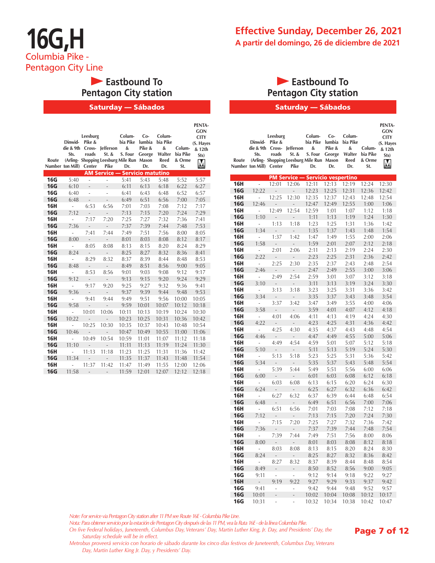## **Eastbound To Pentagon City station**

#### Saturday — Sábados

|            |                          |                           |                                           |                 |        |          |          | PENTA-                   |
|------------|--------------------------|---------------------------|-------------------------------------------|-----------------|--------|----------|----------|--------------------------|
|            |                          | Leesburg                  |                                           | Colum-          | $Co-$  | Colum-   |          | <b>GON</b>               |
|            | Dinwid-                  | Pike &                    |                                           | bia Pike lumbia |        | bia Pike |          | <b>CITY</b><br>(S. Hayes |
|            | die & 9th                |                           | Cross- Jefferson                          | &               | Pike & | &        | Colum-   | & 12th                   |
|            | Sts.                     | roads                     | St. &                                     | S. Four         | George | Walter   | bia Pike | Sts)                     |
| Route      |                          |                           | (Arling- Shopping Leesburg Mile Run Mason |                 |        | Reed     | & Orme   |                          |
|            | Number ton Mill) Center  |                           | Pike                                      | Dr.             | Dr.    | Dr.      | St.      | M                        |
|            |                          |                           | <b>AM Service - Servicio matutino</b>     |                 |        |          |          |                          |
| 16G        | 5:40                     | $\sim$                    | ÷.                                        | 5:41            | 5:43   | 5:48     | 5:52     | 5:57                     |
| <b>16G</b> | 6:10                     |                           |                                           | 6:11            | 6:13   | 6:18     | 6:22     | 6:27                     |
| <b>16G</b> | 6:40                     | $\overline{a}$            | $\overline{a}$                            | 6:41            | 6:43   | 6:48     | 6:52     | 6:57                     |
| <b>16G</b> | 6:48                     | $\mathbb{Z}^{\mathbb{Z}}$ | $\overline{a}$                            | 6:49            | 6:51   | 6:56     | 7:00     | 7:05                     |
| 16H        | $\overline{\phantom{a}}$ | 6:53                      | 6:56                                      | 7:01            | 7:03   | 7:08     | 7:12     | 7:17                     |
| <b>16G</b> | 7:12                     | $\sim$                    | $\mathcal{L}^{\pm}$                       | 7:13            | 7:15   | 7:20     | 7:24     | 7:29                     |
| <b>16H</b> | $\overline{a}$           | 7:17                      | 7:20                                      | 7:25            | 7:27   | 7:32     | 7:36     | 7:41                     |
| <b>16G</b> | 7:36                     | $\sim$                    | $\sim$                                    | 7:37            | 7:39   | 7:44     | 7:48     | 7:53                     |
| 16H        | ÷,                       | 7:41                      | 7:44                                      | 7:49            | 7:51   | 7:56     | 8:00     | 8:05                     |
| <b>16G</b> | 8:00                     | $\sim 10^{-11}$           | $\sim$                                    | 8:01            | 8:03   | 8:08     | 8:12     | 8:17                     |
| <b>16H</b> | $\frac{1}{2}$            | 8:05                      | 8:08                                      | 8:13            | 8:15   | 8:20     | 8:24     | 8:29                     |
| <b>16G</b> | 8:24                     | $\sim 10^{-11}$           | $\sim 10^{-1}$                            | 8:25            | 8:27   | 8:32     | 8:36     | 8:41                     |
| <b>16H</b> | $\overline{\phantom{a}}$ | 8:29                      | 8:32                                      | 8:37            | 8:39   | 8:44     | 8:48     | 8:53                     |
| <b>16G</b> | 8:48                     | $\sim 10^{-11}$           | $\sim$                                    | 8:49            | 8:51   | 8:56     | 9:00     | 9:05                     |
| <b>16H</b> | $\blacksquare$           | 8:53                      | 8:56                                      | 9:01            | 9:03   | 9:08     | 9:12     | 9:17                     |
| <b>16G</b> | 9:12                     | $\sim 10^{-1}$            | $\sim$                                    | 9:13            | 9:15   | 9:20     | 9:24     | 9:29                     |
| 16H        | $\overline{\phantom{a}}$ | 9:17                      | 9:20                                      | 9:25            | 9:27   | 9:32     | 9:36     | 9:41                     |
| <b>16G</b> | 9:36                     | $\sim 10^{-11}$           | $\sim$                                    | 9:37            | 9:39   | 9:44     | 9:48     | 9:53                     |
| 16H        | $\overline{\phantom{a}}$ | 9:41                      | 9:44                                      | 9:49            | 9:51   | 9:56     | 10:00    | 10:05                    |
| <b>16G</b> | 9:58                     | $\sim$                    | $\sim$                                    | 9:59            | 10:01  | 10:07    | 10:12    | 10:18                    |
| <b>16H</b> | $\overline{\phantom{a}}$ | 10:01                     | 10:06                                     | 10:11           | 10:13  | 10:19    | 10:24    | 10:30                    |
| <b>16G</b> | 10:22                    | $\sim 10^{-1}$            | $\sim$                                    | 10:23           | 10:25  | 10:31    | 10:36    | 10:42                    |
| 16H        | ä,                       | 10:25                     | 10:30                                     | 10:35           | 10:37  | 10:43    | 10:48    | 10:54                    |
| <b>16G</b> | 10:46                    | $\sim 100$                | $\sim$                                    | 10:47           | 10:49  | 10:55    | 11:00    | 11:06                    |
| 16H        | $\overline{\phantom{a}}$ | 10:49                     | 10:54                                     | 10:59           | 11:01  | 11:07    | 11:12    | 11:18                    |
| <b>16G</b> | 11:10                    | $\sim 100$                | $\mathcal{L}^{\pm}$                       | 11:11           | 11:13  | 11:19    | 11:24    | 11:30                    |
| 16H        | ÷.                       | 11:13                     | 11:18                                     | 11:23           | 11:25  | 11:31    | 11:36    | 11:42                    |
| <b>16G</b> | 11:34                    | $\sim 100$                | $\sim$                                    | 11:35           | 11:37  | 11:43    | 11:48    | 11:54                    |
| <b>16H</b> | ÷.                       | 11:37                     | 11:42                                     | 11:47           | 11:49  | 11:55    | 12:00    | 12:06                    |
| <b>16G</b> | 11:58                    | $\sim$                    | $\overline{a}$                            | 11:59           | 12:01  | 12:07    | 12:12    | 12:18                    |

### **Eastbound To Pentagon City station**

#### Saturday — Sábados

| Route      | die & 9th<br>Sts.<br>Number ton Mill) | Leesburg<br>Dinwid-Pike &<br>roads<br>Center | Cross- Jefferson<br>St. &<br>(Arling- Shopping Leesburg Mile Run<br>Pike | Colum-<br>bia Pike<br>&<br>S. Four<br>Dr. | $Co-$<br>lumbia<br>Pike &<br>George<br>Mason<br>Dr. | Colum-<br>bia Pike<br>&<br>Walter<br>Reed<br>Dr. | Colum-<br>bia Pike<br>& Orme<br>St. | PENTA-<br>GON<br><b>CITY</b><br>(S. Hayes<br>& 12th<br>Sts)<br>M |
|------------|---------------------------------------|----------------------------------------------|--------------------------------------------------------------------------|-------------------------------------------|-----------------------------------------------------|--------------------------------------------------|-------------------------------------|------------------------------------------------------------------|
|            |                                       |                                              | PM Service — Servicio vespertino                                         |                                           |                                                     |                                                  |                                     |                                                                  |
| 16H        | $\omega$ .                            | 12:01                                        | 12:06                                                                    | 12:11                                     | 12:13                                               | 12:19                                            | 12:24                               | 12:30                                                            |
| <b>16G</b> | 12:22                                 | $\overline{\phantom{a}}$                     | $\frac{1}{2}$                                                            | 12:23                                     | 12:25                                               | 12:31                                            | 12:36                               | 12:42                                                            |
| 16H        | $\overline{a}$                        | 12:25                                        | 12:30                                                                    | 12:35                                     | 12:37                                               | 12:43                                            | 12:48                               | 12:54                                                            |
| 16G        | 12:46                                 | ÷,                                           | ÷,                                                                       | 12:47                                     | 12:49                                               | 12:55                                            | 1:00                                | 1:06                                                             |
| 16H        | $\overline{a}$                        | 12:49                                        | 12:54                                                                    | 12:59                                     | 1:01                                                | 1:07                                             | 1:12                                | 1:18                                                             |
| 16G        | 1:10                                  | $\overline{a}$                               | $\overline{a}$                                                           | 1:11                                      | 1:13                                                | 1:19                                             | 1:24                                | 1:30                                                             |
| 16H        | $\overline{a}$                        | 1:13                                         | 1:18                                                                     | 1:23                                      | 1:25                                                | 1:31                                             | 1:36                                | 1:42                                                             |
| <b>16G</b> | 1:34                                  | ÷,                                           | $\overline{a}$                                                           | 1:35                                      | 1:37                                                | 1:43                                             | 1:48                                | 1:54                                                             |
| 16H        | ÷,                                    | 1:37                                         | 1:42                                                                     | 1:47                                      | 1:49                                                | 1:55                                             | 2:00                                | 2:06                                                             |
| <b>16G</b> | 1:58                                  | $\sim$                                       | ÷,                                                                       | 1:59                                      | 2:01                                                | 2:07                                             | 2:12                                | 2:18                                                             |
| 16H        | ÷,                                    | 2:01                                         | 2:06                                                                     | 2:11                                      | 2:13                                                | 2:19                                             | 2:24                                | 2:30                                                             |
| <b>16G</b> | 2:22                                  | $\overline{\phantom{a}}$                     | $\frac{1}{2}$                                                            | 2:23                                      | 2:25                                                | 2:31                                             | 2:36                                | 2:42                                                             |
| 16H        | ÷,                                    | 2:25                                         | 2:30                                                                     | 2:35<br>2:47                              | 2:37                                                | 2:43                                             | 2:48                                | 2:54                                                             |
| 16G        | 2:46<br>$\overline{\phantom{a}}$      | $\overline{\phantom{a}}$<br>2:49             | $\frac{1}{2}$<br>2:54                                                    |                                           | 2:49                                                | 2:55                                             | 3:00                                | 3:06<br>3:18                                                     |
| 16H<br>16G | 3:10                                  | ÷,                                           | $\overline{a}$                                                           | 2:59<br>3:11                              | 3:01<br>3:13                                        | 3:07<br>3:19                                     | 3:12<br>3:24                        | 3:30                                                             |
| 16H        | $\overline{a}$                        | 3:13                                         | 3:18                                                                     | 3:23                                      | 3:25                                                | 3:31                                             | 3:36                                | 3:42                                                             |
| <b>16G</b> | 3:34                                  | $\overline{a}$                               | $\overline{a}$                                                           | 3:35                                      | 3:37                                                | 3:43                                             | 3:48                                | 3:54                                                             |
| 16H        | $\overline{\phantom{a}}$              | 3:37                                         | 3:42                                                                     | 3:47                                      | 3:49                                                | 3:55                                             | 4:00                                | 4:06                                                             |
| <b>16G</b> | 3:58                                  | $\overline{\phantom{a}}$                     | $\frac{1}{2}$                                                            | 3:59                                      | 4:01                                                | 4:07                                             | 4:12                                | 4:18                                                             |
| 16H        | ÷,                                    | 4:01                                         | 4:06                                                                     | 4:11                                      | 4:13                                                | 4:19                                             | 4:24                                | 4:30                                                             |
| <b>16G</b> | 4:22                                  | $\frac{1}{2}$                                | $\overline{a}$                                                           | 4:23                                      | 4:25                                                | 4:31                                             | 4:36                                | 4:42                                                             |
| 16H        | ÷,                                    | 4:25                                         | 4:30                                                                     | 4:35                                      | 4:37                                                | 4:43                                             | 4:48                                | 4:54                                                             |
| <b>16G</b> | 4:46                                  | $\overline{\phantom{a}}$                     | $\overline{\phantom{a}}$                                                 | 4:47                                      | 4:49                                                | 4:55                                             | 5:00                                | 5:06                                                             |
| 16H        | ÷,                                    | 4:49                                         | 4:54                                                                     | 4:59                                      | 5:01                                                | 5:07                                             | 5:12                                | 5:18                                                             |
| 16G        | 5:10                                  | $\overline{a}$                               | -                                                                        | 5:11                                      | 5:13                                                | 5:19                                             | 5:24                                | 5:30                                                             |
| 16H        | i,                                    | 5:13                                         | 5:18                                                                     | 5:23                                      | 5:25                                                | 5:31                                             | 5:36                                | 5:42                                                             |
| <b>16G</b> | 5:34                                  | $\label{eq:reduced}$                         | $\overline{a}$                                                           | 5:35                                      | 5:37                                                | 5:43                                             | 5:48                                | 5:54                                                             |
| 16H        | ÷.                                    | 5:39                                         | 5:44                                                                     | 5:49                                      | 5:51                                                | 5:56                                             | 6:00                                | 6:06                                                             |
| <b>16G</b> | 6:00                                  | $\overline{\phantom{a}}$                     |                                                                          | 6:01                                      | 6:03                                                | 6:08                                             | 6:12                                | 6:18                                                             |
| 16H        | ÷,                                    | 6:03                                         | 6:08                                                                     | 6:13                                      | 6:15                                                | 6:20                                             | 6:24                                | 6:30                                                             |
| 16G        | 6:24                                  | $\overline{\phantom{a}}$                     | $\frac{1}{2}$                                                            | 6:25                                      | 6:27                                                | 6:32                                             | 6:36                                | 6:42                                                             |
| 16H        | ÷,                                    | 6:27                                         | 6:32                                                                     | 6:37                                      | 6:39                                                | 6:44                                             | 6:48                                | 6:54                                                             |
| 16G        | 6:48                                  | $\overline{\phantom{a}}$                     | $\overline{\phantom{a}}$                                                 | 6:49                                      | 6:51                                                | 6:56                                             | 7:00                                | 7:06                                                             |
| 16H        | ÷                                     | 6:51                                         | 6:56                                                                     | 7:01                                      | 7:03                                                | 7:08                                             | 7:12                                | 7:18                                                             |
| 16G        | 7:12                                  | ÷,                                           | $\overline{a}$                                                           | 7:13                                      | 7:15                                                | 7:20                                             | 7:24                                | 7:30                                                             |
| 16H        | $\overline{a}$                        | 7:15                                         | 7:20                                                                     | 7:25                                      | 7:27                                                | 7:32                                             | 7:36                                | 7:42                                                             |
| 16G        | 7:36                                  | $\overline{a}$                               | $\frac{1}{2}$                                                            | 7:37                                      | 7:39                                                | 7:44                                             | 7:48                                | 7:54                                                             |
| 16H        | ÷,                                    | 7:39                                         | 7:44                                                                     | 7:49                                      | 7:51                                                | 7:56                                             | 8:00                                | 8:06                                                             |
| 16G        | 8:00                                  | $\overline{\phantom{a}}$                     |                                                                          | 8:01                                      | 8:03                                                | 8:08                                             | 8:12                                | 8:18                                                             |
| 16H        | ÷,                                    | 8:03                                         | 8:08                                                                     | 8:13                                      | 8:15                                                | 8:20                                             | 8:24                                | 8:30                                                             |
| <b>16G</b> | 8:24                                  | $\overline{a}$                               | $\overline{a}$                                                           | 8:25                                      | 8:27                                                | 8:32                                             | 8:36                                | 8:42                                                             |
| 16H        | $\overline{a}$                        | 8:27                                         | 8:32                                                                     | 8:37                                      | 8:39                                                | 8:44                                             | 8:48                                | 8:54                                                             |
| <b>16G</b> | 8:49                                  | ÷,                                           | ÷                                                                        | 8:50                                      | 8:52                                                | 8:56                                             | 9:00                                | 9:05                                                             |
| <b>16G</b> | 9:11                                  | -                                            | L,                                                                       | 9:12                                      | 9:14                                                | 9:18                                             | 9:22                                | 9:27                                                             |
| <b>16H</b> | $\overline{\phantom{a}}$              | 9:19                                         | 9:22                                                                     | 9:27                                      | 9:29                                                | 9:33                                             | 9:37                                | 9:42                                                             |
| <b>16G</b> | 9:41                                  | ÷,                                           | i,                                                                       | 9:42                                      | 9:44                                                | 9:48                                             | 9:52                                | 9:57                                                             |
| <b>16G</b> | 10:01                                 | ÷,                                           | ÷,                                                                       | 10:02                                     | 10:04                                               | 10:08                                            | 10:12                               | 10:17                                                            |
| <b>16G</b> | 10:31                                 | ÷,                                           | L,                                                                       | 10:32                                     | 10:34                                               | 10:38                                            | 10:42                               | 10:47                                                            |

*Note: For service via Pentagon City station after 11 PM see Route 16E - Columbia Pike Line.*

*Nota: Para obtener servicio por la estación de Pentagon City después de las 11 PM, vea la Ruta 16E - de la línea Columbia Pike.*

*On five Federal holidays, Juneteenth, Columbus Day, Veterans' Day, Martin Luther King, Jr. Day, and Presidents' Day, the Saturday schedule will be in effect.*

Page 7 of 12

*Metrobus proveerá servicio con horario de sábado durante los cinco días festivos de Juneteenth, Columbus Day, Veterans Day, Martin Luther King Jr. Day, y Presidents' Day.*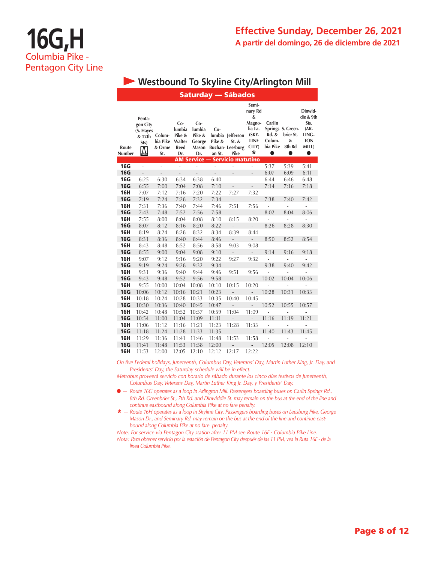### **Effective Sunday, December 26, 2021 A partir del domingo, 26 de diciembre de 2021**

# **16G,H** Columbia Pike - Pentagon City Line

### **• Westbound To Skyline City/Arlington Mill**

| Saturday — Sábados |                                                   |                                     |                                                    |                                                     |                         |                                                             |                                                                                    |                                                       |                                               |                                                                                   |  |
|--------------------|---------------------------------------------------|-------------------------------------|----------------------------------------------------|-----------------------------------------------------|-------------------------|-------------------------------------------------------------|------------------------------------------------------------------------------------|-------------------------------------------------------|-----------------------------------------------|-----------------------------------------------------------------------------------|--|
| Route<br>Number    | Penta-<br>gon City<br>(S. Hayes<br>& 12th<br>Sts) | Colum-<br>bia Pike<br>& Orme<br>St. | $Co-$<br>lumbia<br>Pike &<br>Walter<br>Reed<br>Dr. | $Co-$<br>lumbia<br>Pike &<br>George<br>Mason<br>Dr. | Co-<br>Pike &<br>an St. | lumbia Jefferson<br>St. &<br><b>Buchan-Leesburg</b><br>Pike | Semi-<br>nary Rd<br>&<br>Magno-<br>lia La.<br>$(SKY-$<br><b>LINE</b><br>CITY)<br>* | Carlin<br><b>Rd. &amp;</b><br>Colum-<br>bia Pike<br>0 | Springs S. Green-<br>brier St.<br>&<br>8th Rd | Dinwid-<br>die & 9th<br>Sts.<br>(AR-<br>LING-<br><b>TON</b><br>MILL)<br>$\bullet$ |  |
|                    |                                                   |                                     |                                                    | AM Service —                                        |                         | <b>Servicio matutino</b>                                    |                                                                                    |                                                       |                                               |                                                                                   |  |
| <b>16G</b>         | L.                                                | $\overline{a}$                      | $\frac{1}{2}$                                      | i,                                                  | L,                      | ÷,                                                          | $\overline{a}$                                                                     | 5:37                                                  | 5:39                                          | 5:41                                                                              |  |
| <b>16G</b>         | $\frac{1}{2}$                                     | L,                                  | $\overline{a}$                                     | $\overline{a}$                                      | $\overline{a}$          | $\overline{a}$                                              | $\overline{a}$                                                                     | 6:07                                                  | 6:09                                          | 6:11                                                                              |  |
| <b>16G</b>         | 6:25                                              | 6:30                                | 6:34                                               | 6:38                                                | 6:40                    | ÷,                                                          | ä,                                                                                 | 6:44                                                  | 6:46                                          | 6:48                                                                              |  |
| <b>16G</b>         | 6:55                                              | 7:00                                | 7:04                                               | 7:08                                                | 7:10                    | $\overline{a}$                                              | $\overline{a}$                                                                     | 7:14                                                  | 7:16                                          | 7:18                                                                              |  |
| <b>16H</b>         | 7:07                                              | 7:12                                | 7:16                                               | 7:20                                                | 7:22                    | 7:27                                                        | 7:32                                                                               | $\overline{a}$                                        | $\overline{a}$                                | ÷                                                                                 |  |
| <b>16G</b>         | 7:19                                              | 7:24                                | 7:28                                               | 7:32                                                | 7:34                    | $\overline{a}$                                              | $\frac{1}{2}$                                                                      | 7:38                                                  | 7:40                                          | 7:42                                                                              |  |
| <b>16H</b>         | 7:31                                              | 7:36                                | 7:40                                               | 7:44                                                | 7:46                    | 7:51                                                        | 7:56                                                                               | $\overline{\phantom{m}}$                              | $\overline{\phantom{m}}$                      | ÷                                                                                 |  |
| <b>16G</b>         | 7:43                                              | 7:48                                | 7:52                                               | 7:56                                                | 7:58                    | $\overline{\phantom{a}}$                                    | $\overline{a}$                                                                     | 8:02                                                  | 8:04                                          | 8:06                                                                              |  |
| <b>16H</b>         | 7:55                                              | 8:00                                | 8:04                                               | 8:08                                                | 8:10                    | 8:15                                                        | 8:20                                                                               | L,                                                    | ÷,                                            | $\overline{\phantom{a}}$                                                          |  |
| <b>16G</b>         | 8:07                                              | 8:12                                | 8:16                                               | 8:20                                                | 8:22                    | $\overline{\phantom{a}}$                                    | L,                                                                                 | 8:26                                                  | 8:28                                          | 8:30                                                                              |  |
| <b>16H</b>         | 8:19                                              | 8:24                                | 8:28                                               | 8:32                                                | 8:34                    | 8:39                                                        | 8:44                                                                               | $\overline{\phantom{a}}$                              | $\frac{1}{2}$                                 | ÷                                                                                 |  |
| <b>16G</b>         | 8:31                                              | 8:36                                | 8:40                                               | 8:44                                                | 8:46                    | $\overline{\phantom{a}}$                                    | $\overline{a}$                                                                     | 8:50                                                  | 8:52                                          | 8:54                                                                              |  |
| <b>16H</b>         | 8:43                                              | 8:48                                | 8:52                                               | 8:56                                                | 8:58                    | 9:03                                                        | 9:08                                                                               | $\overline{\phantom{m}}$                              | ÷,                                            | $\overline{\phantom{a}}$                                                          |  |
| <b>16G</b>         | 8:55                                              | 9:00                                | 9:04                                               | 9:08                                                | 9:10                    | $\overline{\phantom{a}}$                                    | $\overline{\phantom{a}}$                                                           | 9:14                                                  | 9:16                                          | 9:18                                                                              |  |
| <b>16H</b>         | 9:07                                              | 9:12                                | 9:16                                               | 9:20                                                | 9:22                    | 9:27                                                        | 9:32                                                                               | $\frac{1}{2}$                                         | $\frac{1}{2}$                                 | $\overline{a}$                                                                    |  |
| <b>16G</b>         | 9:19                                              | 9:24                                | 9:28                                               | 9:32                                                | 9:34                    | $\overline{\phantom{a}}$                                    | $\overline{a}$                                                                     | 9:38                                                  | 9:40                                          | 9:42                                                                              |  |
| <b>16H</b>         | 9:31                                              | 9:36                                | 9:40                                               | 9:44                                                | 9:46                    | 9:51                                                        | 9:56                                                                               | L,                                                    |                                               |                                                                                   |  |
| <b>16G</b>         | 9:43                                              | 9:48                                | 9:52                                               | 9:56                                                | 9:58                    | $\overline{\phantom{m}}$                                    |                                                                                    | 10:02                                                 | 10:04                                         | 10:06                                                                             |  |
| <b>16H</b>         | 9:55                                              | 10:00                               | 10:04                                              | 10:08                                               | 10:10                   | 10:15                                                       | 10:20                                                                              | i.                                                    |                                               |                                                                                   |  |
| <b>16G</b>         | 10:06                                             | 10:12                               | 10:16                                              | 10:21                                               | 10:23                   | $\overline{a}$                                              | $\overline{a}$                                                                     | 10:28                                                 | 10:31                                         | 10:33                                                                             |  |
| <b>16H</b>         | 10:18                                             | 10:24                               | 10:28                                              | 10:33                                               | 10:35                   | 10:40                                                       | 10:45                                                                              | $\overline{\phantom{0}}$                              | ÷,                                            | ÷                                                                                 |  |
| <b>16G</b>         | 10:30                                             | 10:36                               | 10:40                                              | 10:45                                               | 10:47                   | $\overline{\phantom{a}}$                                    | $\overline{\phantom{a}}$                                                           | 10:52                                                 | 10:55                                         | 10:57                                                                             |  |
| <b>16H</b>         | 10:42                                             | 10:48                               | 10:52                                              | 10:57                                               | 10:59                   | 11:04                                                       | 11:09                                                                              | L                                                     | $\overline{a}$                                | L,                                                                                |  |
| <b>16G</b>         | 10:54                                             | 11:00                               | 11:04                                              | 11:09                                               | 11:11                   | $\frac{1}{2}$                                               | $\overline{a}$                                                                     | 11:16                                                 | 11:19                                         | 11:21                                                                             |  |
| <b>16H</b>         | 11:06                                             | 11:12                               | 11:16                                              | 11:21                                               | 11:23                   | 11:28                                                       | 11:33                                                                              |                                                       | ÷,                                            | -                                                                                 |  |
| <b>16G</b>         | 11:18                                             | 11:24                               | 11:28                                              | 11:33                                               | 11:35                   | $\qquad \qquad -$                                           |                                                                                    | 11:40                                                 | 11:43                                         | 11:45                                                                             |  |
| <b>16H</b>         | 11:29                                             | 11:36                               | 11:41                                              | 11:46                                               | 11:48                   | 11:53                                                       | 11:58                                                                              |                                                       |                                               |                                                                                   |  |
| <b>16G</b>         | 11:41                                             | 11:48                               | 11:53                                              | 11:58                                               | 12:00                   | $\overline{\phantom{m}}$                                    | $\overline{a}$                                                                     | 12:05                                                 | 12:08                                         | 12:10                                                                             |  |
| <b>16H</b>         | 11:53                                             | 12:00                               | 12:05                                              | 12:10                                               | 12:12                   | 12:17                                                       | 12:22                                                                              | $\overline{a}$                                        | $\frac{1}{2}$                                 | ÷                                                                                 |  |

*On five Federal holidays, Juneteenth, Columbus Day, Veterans' Day, Martin Luther King, Jr. Day, and Presidents' Day, the Saturday schedule will be in effect.*

*Metrobus proveerá servicio con horario de sábado durante los cinco días festivos de Juneteenth, Columbus Day, Veterans Day, Martin Luther King Jr. Day, y Presidents' Day.*

- l *— Route 16G operates as a loop in Arlington Mill. Passengers boarding buses on Carlin Springs Rd., 8th Rd. Greenbrier St., 7th Rd. and Dinwiddie St. may remain on the bus at the end of the line and continue eastbound along Columbia Pike at no fare penalty.*
- \* *— Route 16H operates as a loop in Skyline City. Passengers boarding buses on Leesburg Pike, George Mason Dr., and Seminary Rd. may remain on the bus at the end of the line and continue eastbound along Columbia Pike at no fare penalty.*

*Note: For service via Pentagon City station after 11 PM see Route 16E - Columbia Pike Line. Nota: Para obtener servicio por la estación de Pentagon City después de las 11 PM, vea la Ruta 16E - de la línea Columbia Pike.*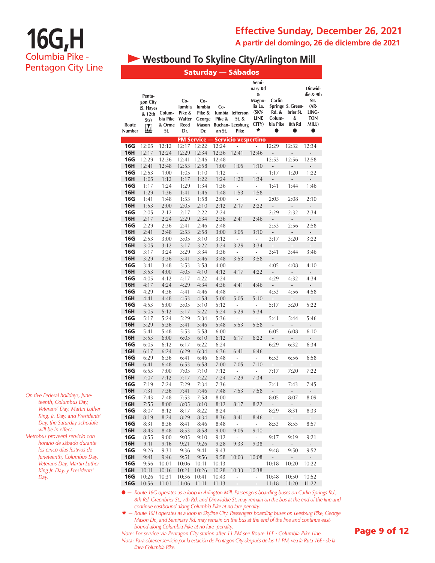### **Effective Sunday, December 26, 2021**

**A partir del domingo, 26 de diciembre de 2021**

# **16G,H** Columbia Pike - Pentagon City Line

### **• Westbound To Skyline City/Arlington Mill**

|  | <b>Saturday</b> |  | — Sábados |  |  |  |  |
|--|-----------------|--|-----------|--|--|--|--|
|  |                 |  |           |  |  |  |  |

|                   |                                                        |                                     |                                                  |                                                   |                         |                                                               | Semi-<br>nary Rd                                               |                                       |                                                            | Dinwid-                                                           |
|-------------------|--------------------------------------------------------|-------------------------------------|--------------------------------------------------|---------------------------------------------------|-------------------------|---------------------------------------------------------------|----------------------------------------------------------------|---------------------------------------|------------------------------------------------------------|-------------------------------------------------------------------|
| Route<br>Number   | Penta-<br>gon City<br>(S. Hayes<br>& 12th<br>Sts)<br>M | Colum-<br>bia Pike<br>& Orme<br>St. | Co-<br>lumbia<br>Pike &<br>Walter<br>Reed<br>Dr. | Co-<br>lumbia<br>Pike &<br>George<br>Mason<br>Dr. | Co-<br>Pike &<br>an St. | lumbia Jefferson<br>$St.$ &<br><b>Buchan-Leesburg</b><br>Pike | &<br>Magno-<br>lia La.<br>$(SKY-$<br><b>LINE</b><br>CITY)<br>* | Carlin<br>Rd. &<br>Colum-<br>bia Pike | Springs S. Green-<br>brier St.<br>&<br>8th Rd<br>$\bullet$ | die & 9th<br>Sts.<br>$(AR -$<br>LING-<br><b>TON</b><br>MILL)<br>0 |
|                   |                                                        |                                     |                                                  |                                                   |                         | <b>PM Service - Servicio vespertino</b>                       |                                                                |                                       |                                                            |                                                                   |
| <b>16G</b>        | 12:05                                                  | 12:12                               | 12:17                                            | 12:22                                             | 12:24                   | ÷,                                                            | ÷,                                                             | 12:29                                 | 12:32                                                      | 12:34                                                             |
| <b>16H</b>        | 12:17                                                  | 12:24                               | 12:29                                            | 12:34                                             | 12:36                   | 12:41                                                         | 12:46                                                          | -                                     | L,                                                         |                                                                   |
| 16G               | 12:29                                                  | 12:36                               | 12:41                                            | 12:46                                             | 12:48                   | ÷,                                                            | ÷,                                                             | 12:53                                 | 12:56                                                      | 12:58                                                             |
| <b>16H</b><br>16G | 12:41<br>12:53                                         | 12:48<br>1:00                       | 12:53<br>1:05                                    | 12:58<br>1:10                                     | 1:00<br>1:12            | 1:05<br>÷,                                                    | 1:10<br>i,                                                     | ÷<br>1:17                             | ÷<br>1:20                                                  | $\frac{1}{2}$<br>1:22                                             |
| <b>16H</b>        | 1:05                                                   | 1:12                                | 1:17                                             | 1:22                                              | 1:24                    | 1:29                                                          | 1:34                                                           | $\overline{a}$                        | $\overline{a}$                                             | $\frac{1}{2}$                                                     |
| 16G               | 1:17                                                   | 1:24                                | 1:29                                             | 1:34                                              | 1:36                    | ÷,                                                            | i,                                                             | 1:41                                  | 1:44                                                       | 1:46                                                              |
| <b>16H</b>        | 1:29                                                   | 1:36                                | 1:41                                             | 1:46                                              | 1:48                    | 1:53                                                          | 1:58                                                           | $\overline{a}$                        | $\overline{a}$                                             | $\overline{a}$                                                    |
| 16G               | 1:41                                                   | 1:48                                | 1:53                                             | 1:58                                              | 2:00                    | ÷                                                             | ÷                                                              | 2:05                                  | 2:08                                                       | 2:10                                                              |
| <b>16H</b>        | 1:53                                                   | 2:00                                | 2:05                                             | 2:10                                              | 2:12                    | 2:17                                                          | 2:22                                                           | $\overline{a}$                        | $\overline{a}$                                             | $\overline{a}$                                                    |
| <b>16G</b>        | 2:05                                                   | 2:12                                | 2:17                                             | 2:22                                              | 2:24                    | Ĭ.                                                            | i,                                                             | 2:29                                  | 2:32                                                       | 2:34                                                              |
| <b>16H</b>        | 2:17                                                   | 2:24                                | 2:29                                             | 2:34                                              | 2:36                    | 2:41                                                          | 2:46                                                           | $\overline{a}$                        | $\overline{a}$                                             | $\overline{a}$                                                    |
| 16G               | 2:29                                                   | 2:36                                | 2:41                                             | 2:46                                              | 2:48                    | Ĭ.                                                            | i,                                                             | 2:53                                  | 2:56                                                       | 2:58                                                              |
| <b>16H</b>        | 2:41                                                   | 2:48                                | 2:53                                             | 2:58                                              | 3:00                    | 3:05                                                          | 3:10                                                           | $\overline{\phantom{a}}$              | $\overline{a}$                                             | ÷,                                                                |
| 16G               | 2:53                                                   | 3:00                                | 3:05                                             | 3:10                                              | 3:12                    | ÷,                                                            | $\frac{1}{2}$                                                  | 3:17                                  | 3:20                                                       | 3:22                                                              |
| <b>16H</b><br>16G | 3:05                                                   | 3:12                                | 3:17<br>3:29                                     | 3:22<br>3:34                                      | 3:24                    | 3:29<br>÷,                                                    | 3:34<br>÷,                                                     | -                                     | -                                                          |                                                                   |
| <b>16H</b>        | 3:17<br>3:29                                           | 3:24<br>3:36                        | 3:41                                             | 3:46                                              | 3:36<br>3:48            | 3:53                                                          | 3:58                                                           | 3:41<br>$\overline{a}$                | 3:44<br>$\overline{a}$                                     | 3:46<br>$\overline{\phantom{a}}$                                  |
| 16G               | 3:41                                                   | 3:48                                | 3:53                                             | 3:58                                              | 4:00                    | ÷                                                             | ÷                                                              | 4:05                                  | 4:08                                                       | 4:10                                                              |
| <b>16H</b>        | 3:53                                                   | 4:00                                | 4:05                                             | 4:10                                              | 4:12                    | 4:17                                                          | 4:22                                                           |                                       |                                                            |                                                                   |
| <b>16G</b>        | 4:05                                                   | 4:12                                | 4:17                                             | 4:22                                              | 4:24                    | Ĭ.                                                            | $\overline{a}$                                                 | 4:29                                  | 4:32                                                       | 4:34                                                              |
| <b>16H</b>        | 4:17                                                   | 4:24                                | 4:29                                             | 4:34                                              | 4:36                    | 4:41                                                          | 4:46                                                           | $\overline{a}$                        | $\frac{1}{2}$                                              | $\overline{a}$                                                    |
| 16G               | 4:29                                                   | 4:36                                | 4:41                                             | 4:46                                              | 4:48                    | i,                                                            | ÷,                                                             | 4:53                                  | 4:56                                                       | 4:58                                                              |
| <b>16H</b>        | 4:41                                                   | 4:48                                | 4:53                                             | 4:58                                              | 5:00                    | 5:05                                                          | 5:10                                                           | $\overline{a}$                        | $\overline{\phantom{a}}$                                   | ÷,                                                                |
| 16G               | 4:53                                                   | 5:00                                | 5:05                                             | 5:10                                              | 5:12                    | ÷,                                                            | ÷,                                                             | 5:17                                  | 5:20                                                       | 5:22                                                              |
| <b>16H</b>        | 5:05                                                   | 5:12                                | 5:17                                             | 5:22                                              | 5:24                    | 5:29                                                          | 5:34                                                           | $\overline{a}$                        | ÷,                                                         | $\overline{a}$                                                    |
| 16G<br><b>16H</b> | 5:17<br>5:29                                           | 5:24<br>5:36                        | 5:29<br>5:41                                     | 5:34<br>5:46                                      | 5:36<br>5:48            | i,<br>5:53                                                    | $\overline{a}$<br>5:58                                         | 5:41<br>$\overline{a}$                | 5:44<br>÷,                                                 | 5:46<br>$\overline{a}$                                            |
| <b>16G</b>        | 5:41                                                   | 5:48                                | 5:53                                             | 5:58                                              | 6:00                    | ÷,                                                            | $\overline{a}$                                                 | 6:05                                  | 6:08                                                       | 6:10                                                              |
| <b>16H</b>        | 5:53                                                   | 6:00                                | 6:05                                             | 6:10                                              | 6:12                    | 6:17                                                          | 6:22                                                           | $\overline{a}$                        | $\overline{a}$                                             |                                                                   |
| <b>16G</b>        | 6:05                                                   | 6:12                                | 6:17                                             | 6:22                                              | 6:24                    | i,                                                            | $\overline{\phantom{a}}$                                       | 6:29                                  | 6:32                                                       | 6:34                                                              |
| <b>16H</b>        | 6:17                                                   | 6:24                                | 6:29                                             | 6:34                                              | 6:36                    | 6:41                                                          | 6:46                                                           | $\qquad \qquad -$                     | $\frac{1}{2}$                                              | $\frac{1}{2}$                                                     |
| 16G               | 6:29                                                   | 6:36                                | 6:41                                             | 6:46                                              | 6:48                    | ÷,                                                            | $\overline{a}$                                                 | 6:53                                  | 6:56                                                       | 6:58                                                              |
| <b>16H</b>        | 6:41                                                   | 6:48                                | 6:53                                             | 6:58                                              | 7:00                    | 7:05                                                          | 7:10                                                           |                                       | -                                                          |                                                                   |
| 16G               | 6:53                                                   | 7:00                                | 7:05                                             | 7:10                                              | 7:12                    | i,                                                            | $\frac{1}{2}$                                                  | 7:17                                  | 7:20                                                       | 7:22                                                              |
| 16H               | 7:07                                                   | 7:12                                | 7:17                                             | 7:22<br>7:34                                      | 7:24                    | 7:29                                                          | 7:34                                                           | ÷,                                    | $\overline{a}$<br>7:43                                     | -                                                                 |
| 16G<br><b>16H</b> | 7:19<br>7:31                                           | 7:24<br>7:36                        | 7:29<br>7:41                                     | 7:46                                              | 7:36<br>7:48            | $\frac{1}{2}$<br>7:53                                         | ÷,<br>7:58                                                     | 7:41<br>-                             | -                                                          | 7:45<br>$\qquad \qquad -$                                         |
| 16G               | 7:43                                                   | 7:48                                | / : 53                                           | 7:58                                              | 8:00                    | $\sim$                                                        | $\sim$                                                         | 8:05                                  | 8:07                                                       | 8:09                                                              |
| <b>16H</b>        | 7:55                                                   | 8:00                                | 8:05                                             | 8:10                                              | 8:12                    | 8:17                                                          | 8:22                                                           | $\overline{\phantom{a}}$              | $\overline{\phantom{a}}$                                   | $\overline{\phantom{a}}$                                          |
| <b>16G</b>        | 8:07                                                   | 8:12                                | 8:17                                             | 8:22                                              | 8:24                    | ä,                                                            | ÷.                                                             | 8:29                                  | 8:31                                                       | 8:33                                                              |
| <b>16H</b>        | 8:19                                                   | 8:24                                | 8:29                                             | 8:34                                              | 8:36                    | 8:41                                                          | 8:46                                                           | $\overline{\phantom{a}}$              | $\mathbb{L}$                                               | ÷,                                                                |
| 16G               | 8:31                                                   | 8:36                                | 8:41                                             | 8:46                                              | 8:48                    | $\overline{\phantom{a}}$                                      | ÷.                                                             | 8:53                                  | 8:55                                                       | 8:57                                                              |
| <b>16H</b>        | 8:43                                                   | 8:48                                | 8:53                                             | 8:58                                              | 9:00                    | 9:05                                                          | 9:10                                                           | ÷,                                    | $\overline{\phantom{a}}$                                   | $\frac{1}{2}$                                                     |
| 16G               | 8:55                                                   | 9:00                                | 9:05                                             | 9:10                                              | 9:12                    | $\overline{\phantom{a}}$                                      | ÷,                                                             | 9:17                                  | 9:19                                                       | 9:21                                                              |
| <b>16H</b><br>16G | 9:11<br>9:26                                           | 9:16                                | 9:21                                             | 9:26                                              | 9:28                    | 9:33                                                          | 9:38                                                           | $\overline{\phantom{a}}$              | $\frac{1}{2}$                                              | ÷,                                                                |
| <b>16H</b>        | 9:41                                                   | 9:31<br>9:46                        | 9:36<br>9:51                                     | 9:41<br>9:56                                      | 9:43<br>9:58            | L,<br>10:03                                                   | ÷,<br>10:08                                                    | 9:48<br>$\frac{1}{2}$                 | 9:50<br>$\overline{\phantom{a}}$                           | 9:52<br>$\overline{\phantom{a}}$                                  |
| 16G               | 9:56                                                   | 10:01                               | 10:06                                            | 10:11                                             | 10:13                   | ÷,                                                            | ÷.                                                             | 10:18                                 | 10:20                                                      | 10:22                                                             |
| <b>16H</b>        | 10:11                                                  | 10:16                               | 10:21                                            | 10:26                                             | 10:28                   | 10:33                                                         | 10:38                                                          | $\overline{a}$                        | $\overline{a}$                                             |                                                                   |
| 16G               | 10:26                                                  | 10:31                               | 10:36                                            | 10:41                                             | 10:43                   | L,                                                            | ÷,                                                             | 10:48                                 | 10:50                                                      | 10:52                                                             |
| <b>16G</b>        | 10:56                                                  | 11:01                               | 11:06                                            | 11:11                                             | 11:13                   | $\overline{a}$                                                | $\frac{1}{2}$                                                  | 11:18                                 | 11:20                                                      | 11:22                                                             |

*On five Federal holidays, Juneteenth, Columbus Day, Veterans' Day, Martin Luther King, Jr. Day, and Presidents' Day, the Saturday schedule will be in effect.*

*Metrobus proveerá servicio con horario de sábado durante los cinco días festivos de Juneteenth, Columbus Day, Veterans Day, Martin Luther King Jr. Day, y Presidents' Day.*

> l *— Route 16G operates as a loop in Arlington Mill. Passengers boarding buses on Carlin Springs Rd., 8th Rd. Greenbrier St., 7th Rd. and Dinwiddie St. may remain on the bus at the end of the line and continue eastbound along Columbia Pike at no fare penalty.*

> \* *— Route 16H operates as a loop in Skyline City. Passengers boarding buses on Leesburg Pike, George Mason Dr., and Seminary Rd. may remain on the bus at the end of the line and continue eastbound along Columbia Pike at no fare penalty.*

*Note: For service via Pentagon City station after 11 PM see Route 16E - Columbia Pike Line. Nota: Para obtener servicio por la estación de Pentagon City después de las 11 PM, vea la Ruta 16E - de la línea Columbia Pike.*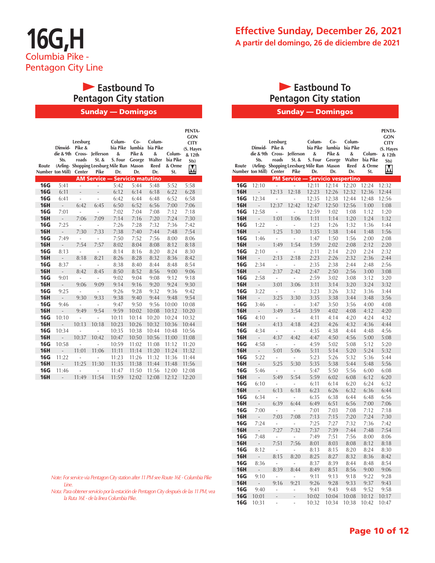# **Eastbound To Pentagon City station**

Sunday — Domingos

| Route      | Dinwid-<br>die & 9th<br>Sts.<br>Number ton Mill) | Leesburg<br>Pike &<br>Cross-<br>roads<br>Center | <b>Jefferson</b><br>St. &<br>(Arling- Shopping Leesburg Mile Run Mason<br>Pike | Colum-<br>bia Pike<br>&<br>S. Four<br>Dr. | $Co-$<br>lumbia<br>Pike &<br>George<br>Dr. | Colum-<br>bia Pike<br>&<br>Walter<br>Reed<br>Dr. | Colum-<br>bia Pike<br>& Orme<br>St. | <b>PENTA-</b><br><b>GON</b><br><b>CITY</b><br>(S. Hayes<br>& 12th<br>Sts)<br>Ņ |
|------------|--------------------------------------------------|-------------------------------------------------|--------------------------------------------------------------------------------|-------------------------------------------|--------------------------------------------|--------------------------------------------------|-------------------------------------|--------------------------------------------------------------------------------|
|            |                                                  |                                                 | <b>AM Service -</b>                                                            |                                           | <b>Servicio matutino</b>                   |                                                  |                                     |                                                                                |
| <b>16G</b> | 5:41                                             | ä,                                              | $\overline{a}$                                                                 | 5:42                                      | 5:44                                       | 5:48                                             | 5:52                                | 5:58                                                                           |
| <b>16G</b> | 6:11                                             | $\overline{a}$                                  | $\overline{\phantom{0}}$                                                       | 6:12                                      | 6:14                                       | 6:18                                             | 6:22                                | 6:28                                                                           |
| <b>16G</b> | 6:41                                             | L                                               | $\overline{a}$                                                                 | 6:42                                      | 6:44                                       | 6:48                                             | 6:52                                | 6:58                                                                           |
| <b>16H</b> | $\overline{a}$                                   | 6:42                                            | 6:45                                                                           | 6:50                                      | 6:52                                       | 6:56                                             | 7:00                                | 7:06                                                                           |
| <b>16G</b> | 7:01                                             | i,                                              | i,                                                                             | 7:02                                      | 7:04                                       | 7:08                                             | 7:12                                | 7:18                                                                           |
| <b>16H</b> | $\overline{a}$                                   | 7:06                                            | 7:09                                                                           | 7:14                                      | 7:16                                       | 7:20                                             | 7:24                                | 7:30                                                                           |
| <b>16G</b> | 7:25                                             | L                                               | Ĭ.                                                                             | 7:26                                      | 7:28                                       | 7:32                                             | 7:36                                | 7:42                                                                           |
| <b>16H</b> | $\overline{a}$                                   | 7:30                                            | 7:33                                                                           | 7:38                                      | 7:40                                       | 7:44                                             | 7:48                                | 7:54                                                                           |
| <b>16G</b> | 7:49                                             | i,                                              | Ĭ.                                                                             | 7:50                                      | 7:52                                       | 7:56                                             | 8:00                                | 8:06                                                                           |
| <b>16H</b> | $\overline{a}$                                   | 7:54                                            | 7:57                                                                           | 8:02                                      | 8:04                                       | 8:08                                             | 8:12                                | 8:18                                                                           |
| <b>16G</b> | 8:13                                             | L,                                              | $\overline{a}$                                                                 | 8:14                                      | 8:16                                       | 8:20                                             | 8:24                                | 8:30                                                                           |
| <b>16H</b> | $\overline{a}$                                   | 8:18                                            | 8:21                                                                           | 8:26                                      | 8:28                                       | 8:32                                             | 8:36                                | 8:42                                                                           |
| <b>16G</b> | 8:37                                             | L                                               | L,                                                                             | 8:38                                      | 8:40                                       | 8:44                                             | 8:48                                | 8:54                                                                           |
| <b>16H</b> | $\overline{a}$                                   | 8:42                                            | 8:45                                                                           | 8:50                                      | 8:52                                       | 8:56                                             | 9:00                                | 9:06                                                                           |
| <b>16G</b> | 9:01                                             | $\overline{a}$                                  | $\overline{a}$                                                                 | 9:02                                      | 9:04                                       | 9:08                                             | 9:12                                | 9:18                                                                           |
| <b>16H</b> | $\overline{a}$                                   | 9:06                                            | 9:09                                                                           | 9:14                                      | 9:16                                       | 9:20                                             | 9:24                                | 9:30                                                                           |
| <b>16G</b> | 9:25                                             | L                                               | L,                                                                             | 9:26                                      | 9:28                                       | 9:32                                             | 9:36                                | 9:42                                                                           |
| <b>16H</b> | $\overline{a}$                                   | 9:30                                            | 9:33                                                                           | 9:38                                      | 9:40                                       | 9:44                                             | 9:48                                | 9:54                                                                           |
| <b>16G</b> | 9:46                                             | i,                                              | Ĭ.                                                                             | 9:47                                      | 9:50                                       | 9:56                                             | 10:00                               | 10:08                                                                          |
| <b>16H</b> | $\overline{a}$                                   | 9:49                                            | 9:54                                                                           | 9:59                                      | 10:02                                      | 10:08                                            | 10:12                               | 10:20                                                                          |
| <b>16G</b> | 10:10                                            | i,                                              | L,                                                                             | 10:11                                     | 10:14                                      | 10:20                                            | 10:24                               | 10:32                                                                          |
| <b>16H</b> | $\overline{a}$                                   | 10:13                                           | 10:18                                                                          | 10:23                                     | 10:26                                      | 10:32                                            | 10:36                               | 10:44                                                                          |
| <b>16G</b> | 10:34                                            | ÷                                               |                                                                                | 10:35                                     | 10:38                                      | 10:44                                            | 10:48                               | 10:56                                                                          |
| <b>16H</b> | $\overline{a}$                                   | 10:37                                           | 10:42                                                                          | 10:47                                     | 10:50                                      | 10:56                                            | 11:00                               | 11:08                                                                          |
| <b>16G</b> | 10:58                                            |                                                 | $\overline{a}$                                                                 | 10:59                                     | 11:02                                      | 11:08                                            | 11:12                               | 11:20                                                                          |
| <b>16H</b> | $\overline{a}$                                   | 11:01                                           | 11:06                                                                          | 11:11                                     | 11:14                                      | 11:20                                            | 11:24                               | 11:32                                                                          |
| <b>16G</b> | 11:22                                            |                                                 |                                                                                | 11:23                                     | 11:26                                      | 11:32                                            | 11:36                               | 11:44                                                                          |
| <b>16H</b> | $\overline{a}$                                   | 11:25                                           | 11:30                                                                          | 11:35                                     | 11:38                                      | 11:44                                            | 11:48                               | 11:56                                                                          |
| <b>16G</b> | 11:46                                            | Ĭ.                                              |                                                                                | 11:47                                     | 11:50                                      | 11:56                                            | 12:00                               | 12:08                                                                          |
| <b>16H</b> | $\overline{a}$                                   | 11:49                                           | 11:54                                                                          | 11:59                                     | 12:02                                      | 12:08                                            | 12:12                               | 12:20                                                                          |

## **Eastbound To Pentagon City station**

Sunday — Domingos

| Route             | Dinwid-<br>Sts.<br>Number ton Mill) | Leesburg<br>Pike &<br>roads<br>Center | die & 9th Cross- Jefferson<br>St. &<br>Pike | Colum-<br>bia Pike<br>&<br>S. Four<br>(Arling- Shopping Leesburg Mile Run Mason<br>Dr. | $Co-$<br>lumbia<br>Pike &<br>George<br>Dr. | Colum-<br>bia Pike<br>&<br>Walter<br>Reed<br>Dr. | Colum-<br>bia Pike<br>& Orme<br>St. | PENTA-<br><b>GON</b><br><b>CITY</b><br>(S. Hayes<br>& 12th<br>Sts)<br>M |
|-------------------|-------------------------------------|---------------------------------------|---------------------------------------------|----------------------------------------------------------------------------------------|--------------------------------------------|--------------------------------------------------|-------------------------------------|-------------------------------------------------------------------------|
|                   |                                     |                                       |                                             | <b>PM Service - Servicio vespertino</b>                                                |                                            |                                                  |                                     |                                                                         |
| 16G               | 12:10                               | ÷,                                    |                                             | 12:11                                                                                  | 12:14                                      | 12:20                                            | 12:24                               | 12:32                                                                   |
| <b>16H</b>        | $\overline{\phantom{a}}$            | 12:13                                 | 12:18                                       | 12:23                                                                                  | 12:26                                      | 12:32                                            | 12:36                               | 12:44                                                                   |
| 16G               | 12:34                               | i,                                    | ÷,                                          | 12:35                                                                                  | 12:38                                      | 12:44                                            | 12:48                               | 12:56                                                                   |
| <b>16H</b>        | $\overline{a}$                      | 12:37                                 | 12:42                                       | 12:47                                                                                  | 12:50                                      | 12:56                                            | 1:00                                | 1:08                                                                    |
| 16G               | 12:58                               | i,                                    | $\overline{a}$                              | 12:59                                                                                  | 1:02                                       | 1:08                                             | 1:12                                | 1:20                                                                    |
| <b>16H</b>        | $\overline{a}$                      | 1:01                                  | 1:06                                        | 1:11                                                                                   | 1:14                                       | 1:20                                             | 1:24                                | 1:32                                                                    |
| 16G               | 1:22                                | i,                                    | ÷,                                          | 1:23                                                                                   | 1:26                                       | 1:32                                             | 1:36                                | 1:44                                                                    |
| <b>16H</b>        | $\overline{a}$                      | 1:25                                  | 1:30                                        | 1:35                                                                                   | 1:38                                       | 1:44                                             | 1:48                                | 1:56                                                                    |
| 16G               | 1:46                                | i.                                    | $\overline{a}$                              | 1:47                                                                                   | 1:50                                       | 1:56                                             | 2:00                                | 2:08                                                                    |
| <b>16H</b>        | $\overline{a}$                      | 1:49                                  | 1:54                                        | 1:59                                                                                   | 2:02                                       | 2:08                                             | 2:12                                | 2:20                                                                    |
| 16G               | 2:10                                | $\overline{a}$                        | ÷,                                          | 2:11                                                                                   | 2:14                                       | 2:20                                             | 2:24                                | 2:32                                                                    |
| <b>16H</b>        | $\overline{\phantom{a}}$            | 2:13                                  | 2:18                                        | 2:23                                                                                   | 2:26                                       | 2:32                                             | 2:36                                | 2:44                                                                    |
| 16G               | 2:34                                | i,                                    | ÷,<br>2:42                                  | 2:35                                                                                   | 2:38                                       | 2:44                                             | 2:48                                | 2:56                                                                    |
| <b>16H</b><br>16G | ÷,                                  | 2:37                                  | ÷,                                          | 2:47<br>2:59                                                                           | 2:50                                       | 2:56                                             | 3:00                                | 3:08                                                                    |
|                   | 2:58<br>l,                          | i,<br>3:01                            | 3:06                                        | 3:11                                                                                   | 3:02<br>3:14                               | 3:08<br>3:20                                     | 3:12<br>3:24                        | 3:20<br>3:32                                                            |
| <b>16H</b>        | 3:22                                | $\sim$                                | L.                                          |                                                                                        | 3:26                                       |                                                  |                                     |                                                                         |
| 16G<br><b>16H</b> |                                     |                                       | 3:30                                        | 3:23<br>3:35                                                                           | 3:38                                       | 3:32<br>3:44                                     | 3:36<br>3:48                        | 3:44<br>3:56                                                            |
| 16G               | 3:46                                | 3:25<br>$\frac{1}{2}$                 | $\overline{a}$                              | 3:47                                                                                   |                                            | 3:56                                             | 4:00                                | 4:08                                                                    |
| <b>16H</b>        | $\overline{a}$                      | 3:49                                  | 3:54                                        | 3:59                                                                                   | 3:50<br>4:02                               | 4:08                                             | 4:12                                | 4:20                                                                    |
| 16G               | 4:10                                | ÷,                                    | ÷,                                          | 4:11                                                                                   | 4:14                                       | 4:20                                             | 4:24                                | 4:32                                                                    |
|                   | $\overline{\phantom{a}}$            |                                       |                                             |                                                                                        | 4:26                                       |                                                  | 4:36                                |                                                                         |
| <b>16H</b>        | 4:34                                | 4:13                                  | 4:18<br>$\overline{a}$                      | 4:23<br>4:35                                                                           |                                            | 4:32                                             | 4:48                                | 4:44                                                                    |
| 16G<br><b>16H</b> | $\overline{a}$                      | i,<br>4:37                            | 4:42                                        | 4:47                                                                                   | 4:38<br>4:50                               | 4:44<br>4:56                                     | 5:00                                | 4:56<br>5:08                                                            |
| 16G               | 4:58                                | i,                                    | i,                                          | 4:59                                                                                   | 5:02                                       | 5:08                                             | 5:12                                | 5:20                                                                    |
| <b>16H</b>        | $\overline{a}$                      | 5:01                                  | 5:06                                        | 5:11                                                                                   | 5:14                                       | 5:20                                             | 5:24                                | 5:32                                                                    |
| 16G               | 5:22                                | i,                                    | L                                           | 5:23                                                                                   | 5:26                                       | 5:32                                             | 5:36                                | 5:44                                                                    |
| <b>16H</b>        | $\overline{a}$                      | 5:25                                  | 5:30                                        | 5:35                                                                                   | 5:38                                       | 5:44                                             | 5:48                                | 5:56                                                                    |
| 16G               | 5:46                                | i,                                    | $\overline{\phantom{a}}$                    | 5:47                                                                                   | 5:50                                       | 5:56                                             | 6:00                                | 6:08                                                                    |
| <b>16H</b>        | ÷,                                  | 5:49                                  | 5:54                                        | 5:59                                                                                   | 6:02                                       | 6:08                                             | 6:12                                | 6:20                                                                    |
| 16G               | 6:10                                | L,                                    |                                             | 6:11                                                                                   | 6:14                                       | 6:20                                             | 6:24                                | 6:32                                                                    |
| <b>16H</b>        | $\frac{1}{2}$                       | 6:13                                  | 6:18                                        | 6:23                                                                                   | 6:26                                       | 6:32                                             | 6:36                                | 6:44                                                                    |
| 16G               | 6:34                                | i,                                    | i,                                          | 6:35                                                                                   | 6:38                                       | 6:44                                             | 6:48                                | 6:56                                                                    |
| <b>16H</b>        | L,                                  | 6:39                                  | 6:44                                        | 6:49                                                                                   | 6:51                                       | 6:56                                             | 7:00                                | 7:06                                                                    |
| 16G               | 7:00                                | $\frac{1}{2}$                         | L                                           | 7:01                                                                                   | 7:03                                       | 7:08                                             | 7:12                                | 7:18                                                                    |
| <b>16H</b>        | $\overline{a}$                      | 7:03                                  | 7:08                                        | 7:13                                                                                   | 7:15                                       | 7:20                                             | 7:24                                | 7:30                                                                    |
| 16G               | 7:24                                | ÷,                                    | L.                                          | 7:25                                                                                   | 7:27                                       | 7:32                                             | 7:36                                | 7:42                                                                    |
| <b>16H</b>        |                                     | 7:27                                  | 7:32                                        | 7:37                                                                                   | 7:39                                       | 7:44                                             | 7:48                                | 7:54                                                                    |
| 16G               | 7:48                                | ä,                                    | $\overline{a}$                              | 7:49                                                                                   | 7:51                                       | 7:56                                             | 8:00                                | 8:06                                                                    |
| <b>16H</b>        | $\overline{a}$                      | 7:51                                  | 7:56                                        | 8:01                                                                                   | 8:03                                       | 8:08                                             | 8:12                                | 8:18                                                                    |
| 16G               | 8:12                                | $\overline{\phantom{a}}$              | $\overline{\phantom{a}}$                    | 8:13                                                                                   | 8:15                                       | 8:20                                             | 8:24                                | 8:30                                                                    |
| <b>16H</b>        | $\overline{\phantom{a}}$            | 8:15                                  | 8:20                                        | 8:25                                                                                   | 8:27                                       | 8:32                                             | 8:36                                | 8:42                                                                    |
| <b>16G</b>        | 8:36                                | $\blacksquare$                        | Ĭ,                                          | 8:37                                                                                   | 8:39                                       | 8:44                                             | 8:48                                | 8:54                                                                    |
| <b>16H</b>        | $\frac{1}{2}$                       | 8:39                                  | 8:44                                        | 8:49                                                                                   | 8:51                                       | 8:56                                             | 9:00                                | 9:06                                                                    |
| 16G               | 9:10                                | $\overline{\phantom{0}}$              | L,                                          | 9:11                                                                                   | 9:13                                       | 9:18                                             | 9:22                                | 9:28                                                                    |
| <b>16H</b>        | L,                                  | 9:16                                  | 9:21                                        | 9:26                                                                                   | 9:28                                       | 9:33                                             | 9:37                                | 9:43                                                                    |
| 16G               | 9:40                                | L,                                    | L,                                          | 9:41                                                                                   | 9:43                                       | 9:48                                             | 9:52                                | 9:58                                                                    |
| <b>16G</b>        | 10:01                               | -                                     | -                                           | 10:02                                                                                  | 10:04                                      | 10:08                                            | 10:12                               | 10:17                                                                   |
| <b>16G</b>        | 10:31                               | ÷,                                    | L,                                          | 10:32                                                                                  | 10:34                                      | 10:38                                            | 10:42                               | 10:47                                                                   |

*Note: For service via Pentagon City station after 11 PM see Route 16E - Columbia Pike Line.*

*Nota: Para obtener servicio por la estación de Pentagon City después de las 11 PM, vea la Ruta 16E - de la línea Columbia Pike.*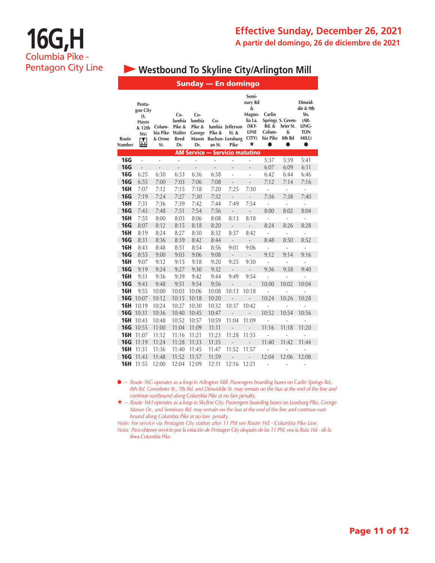### **Effective Sunday, December 26, 2021 A partir del domingo, 26 de diciembre de 2021**

# **16G,H** Columbia Pike - Pentagon City Line

## **• Westbound To Skyline City/Arlington Mill**

|                 |                                                                  |                                     |                                                    |                                          |                         | Sunday — En domingo                                        |                                                                                    |                                            |                                                            |                                                                                      |
|-----------------|------------------------------------------------------------------|-------------------------------------|----------------------------------------------------|------------------------------------------|-------------------------|------------------------------------------------------------|------------------------------------------------------------------------------------|--------------------------------------------|------------------------------------------------------------|--------------------------------------------------------------------------------------|
| Route<br>Number | Penta-<br>gon City<br>(S.<br><b>Hayes</b><br>& 12th<br>Sts)<br>M | Colum-<br>bia Pike<br>& Orme<br>St. | $Co-$<br>lumbia<br>Pike &<br>Walter<br>Reed<br>Dr. | Co-<br>lumbia<br>Pike &<br>George<br>Dr. | Co-<br>Pike &<br>an St. | lumbia Jefferson<br>St. &<br>Mason Buchan-Leesburg<br>Pike | Semi-<br>nary Rd<br>&<br>Magno-<br>lia La.<br>$(SKY-$<br><b>LINE</b><br>CITY)<br>* | Carlin<br>Rd. &<br>Colum-<br>bia Pike<br>0 | Springs S. Green-<br>brier St.<br>&<br>8th Rd<br>$\bullet$ | Dinwid-<br>die & 9th<br>Sts.<br>$(AR -$<br>LING-<br><b>TON</b><br>MILL)<br>$\bullet$ |
|                 |                                                                  |                                     |                                                    |                                          |                         | <b>AM Service — Servicio matutino</b>                      |                                                                                    |                                            |                                                            |                                                                                      |
| <b>16G</b>      | $\overline{a}$                                                   | $\overline{a}$                      | $\overline{\phantom{a}}$                           | $\frac{1}{2}$                            | L,                      | $\blacksquare$                                             | $\frac{1}{2}$                                                                      | 5:37                                       | 5:39                                                       | 5:41                                                                                 |
| <b>16G</b>      | $\overline{a}$                                                   | $\overline{a}$                      | $\overline{a}$                                     | $\overline{a}$                           | $\overline{a}$          | $\overline{a}$                                             | $\overline{a}$                                                                     | 6:07                                       | 6:09                                                       | 6:11                                                                                 |
| <b>16G</b>      | 6:25                                                             | 6:30                                | 6:33                                               | 6:36                                     | 6:38                    | $\overline{a}$                                             | $\overline{\phantom{0}}$                                                           | 6:42                                       | 6:44                                                       | 6:46                                                                                 |
| <b>16G</b>      | 6:55                                                             | 7:00                                | 7:03                                               | 7:06                                     | 7:08                    | $\overline{a}$                                             | $\overline{\phantom{a}}$                                                           | 7:12                                       | 7:14                                                       | 7:16                                                                                 |
| 16H             | 7:07                                                             | 7:12                                | 7:15                                               | 7:18                                     | 7:20                    | 7:25                                                       | 7:30                                                                               | $\frac{1}{2}$                              | $\frac{1}{2}$                                              | $\overline{a}$                                                                       |
| <b>16G</b>      | 7:19                                                             | 7:24                                | 7:27                                               | 7:30                                     | 7:32                    | $\overline{\phantom{a}}$                                   | $\overline{\phantom{a}}$                                                           | 7:36                                       | 7:38                                                       | 7:40                                                                                 |
| <b>16H</b>      | 7:31                                                             | 7:36                                | 7:39                                               | 7:42                                     | 7:44                    | 7:49                                                       | 7:54                                                                               | $\overline{a}$                             | $\overline{\phantom{a}}$                                   | $\overline{a}$                                                                       |
| <b>16G</b>      | 7:43                                                             | 7:48                                | 7:51                                               | 7:54                                     | 7:56                    | $\overline{a}$                                             | $\overline{\phantom{a}}$                                                           | 8:00                                       | 8:02                                                       | 8:04                                                                                 |
| <b>16H</b>      | 7:55                                                             | 8:00                                | 8:03                                               | 8:06                                     | 8:08                    | 8:13                                                       | 8:18                                                                               | $\overline{\phantom{a}}$                   | $\overline{\phantom{a}}$                                   | $\overline{\phantom{a}}$                                                             |
| <b>16G</b>      | 8:07                                                             | 8:12                                | 8:15                                               | 8:18                                     | 8:20                    | $\Box$                                                     | $\overline{\phantom{a}}$                                                           | 8:24                                       | 8:26                                                       | 8:28                                                                                 |
| <b>16H</b>      | 8:19                                                             | 8:24                                | 8:27                                               | 8:30                                     | 8:32                    | 8:37                                                       | 8:42                                                                               | $\overline{\phantom{a}}$                   | $\overline{\phantom{a}}$                                   | $\overline{\phantom{a}}$                                                             |
| <b>16G</b>      | 8:31                                                             | 8:36                                | 8:39                                               | 8:42                                     | 8:44                    | $\mathcal{L}_{\mathcal{A}}$                                | $\mathcal{L}_{\mathcal{A}}$                                                        | 8:48                                       | 8:50                                                       | 8:52                                                                                 |
| 16H             | 8:43                                                             | 8:48                                | 8:51                                               | 8:54                                     | 8:56                    | 9:01                                                       | 9:06                                                                               | $\overline{\phantom{a}}$                   | $\overline{a}$                                             | $\overline{a}$                                                                       |
| <b>16G</b>      | 8:55                                                             | 9:00                                | 9:03                                               | 9:06                                     | 9:08                    | $\sim$                                                     | $\blacksquare$                                                                     | 9:12                                       | 9:14                                                       | 9:16                                                                                 |
| <b>16H</b>      | 9:07                                                             | 9:12                                | 9:15                                               | 9:18                                     | 9:20                    | 9:25                                                       | 9:30                                                                               | $\overline{\phantom{a}}$                   | $\frac{1}{2}$                                              | $\overline{a}$                                                                       |
| <b>16G</b>      | 9:19                                                             | 9:24                                | 9:27                                               | 9:30                                     | 9:32                    | $\overline{\phantom{a}}$                                   | $\overline{\phantom{a}}$                                                           | 9:36                                       | 9:38                                                       | 9:40                                                                                 |
| <b>16H</b>      | 9:31                                                             | 9:36                                | 9:39                                               | 9:42                                     | 9:44                    | 9:49                                                       | 9:54                                                                               | $\overline{a}$                             | $\overline{a}$                                             |                                                                                      |
| <b>16G</b>      | 9:43                                                             | 9:48                                | 9:51                                               | 9:54                                     | 9:56                    | $\overline{a}$                                             | $\overline{\phantom{0}}$                                                           | 10:00                                      | 10:02                                                      | 10:04                                                                                |
| <b>16H</b>      | 9:55                                                             | 10:00                               | 10:03                                              | 10:06                                    | 10:08                   | 10:13                                                      | 10:18                                                                              | L,                                         | $\overline{\phantom{0}}$                                   | $\overline{a}$                                                                       |
| <b>16G</b>      | 10:07                                                            | 10:12                               | 10:15                                              | 10:18                                    | 10:20                   | $\overline{a}$                                             | $\overline{a}$                                                                     | 10:24                                      | 10:26                                                      | 10:28                                                                                |
| 16H             | 10:19                                                            | 10:24                               | 10:27                                              | 10:30                                    | 10:32                   | 10:37                                                      | 10:42                                                                              | $\overline{a}$                             | $\overline{\phantom{a}}$                                   | $\overline{\phantom{a}}$                                                             |
| <b>16G</b>      | 10:31                                                            | 10:36                               | 10:40                                              | 10:45                                    | 10:47                   | L,                                                         | $\mathcal{L}_{\mathcal{A}}$                                                        | 10:52                                      | 10:54                                                      | 10:56                                                                                |
| <b>16H</b>      | 10:43                                                            | 10:48                               | 10:52                                              | 10:57                                    | 10:59                   | 11:04                                                      | 11:09                                                                              | $\overline{a}$                             | $\overline{a}$                                             | $\overline{a}$                                                                       |
| <b>16G</b>      | 10:55                                                            | 11:00                               | 11:04                                              | 11:09                                    | 11:11                   | $\overline{a}$                                             | ÷,                                                                                 | 11:16                                      | 11:18                                                      | 11:20                                                                                |
| <b>16H</b>      | 11:07                                                            | 11:12                               | 11:16                                              | 11:21                                    | 11:23                   | 11:28                                                      | 11:33                                                                              |                                            |                                                            | $\overline{a}$                                                                       |
| <b>16G</b>      | 11:19                                                            | 11:24                               | 11:28                                              | 11:33                                    | 11:35                   | $\overline{a}$                                             | $\overline{\phantom{0}}$                                                           | 11:40                                      | 11:42                                                      | 11:44                                                                                |
| <b>16H</b>      | 11:31                                                            | 11:36                               | 11:40                                              | 11:45                                    | 11:47                   | 11:52                                                      | 11:57                                                                              |                                            |                                                            | $\overline{a}$                                                                       |
| <b>16G</b>      | 11:43                                                            | 11:48                               | 11:52                                              | 11:57                                    | 11:59                   |                                                            | $\overline{\phantom{0}}$                                                           | 12:04                                      | 12:06                                                      | 12:08                                                                                |
| <b>16H</b>      | 11:55                                                            | 12:00                               | 12:04                                              | 12:09                                    | 12:11                   | 12:16                                                      | 12:21                                                                              | $\frac{1}{2}$                              |                                                            |                                                                                      |

l *— Route 16G operates as a loop in Arlington Mill. Passengers boarding buses on Carlin Springs Rd., 8th Rd. Greenbrier St., 7th Rd. and Dinwiddie St. may remain on the bus at the end of the line and continue eastbound along Columbia Pike at no fare penalty.*

\* *— Route 16H operates as a loop in Skyline City. Passengers boarding buses on Leesburg Pike, George Mason Dr., and Seminary Rd. may remain on the bus at the end of the line and continue eastbound along Columbia Pike at no fare penalty.*

*Note: For service via Pentagon City station after 11 PM see Route 16E - Columbia Pike Line.*

*Nota: Para obtener servicio por la estación de Pentagon City después de las 11 PM, vea la Ruta 16E - de la línea Columbia Pike.*